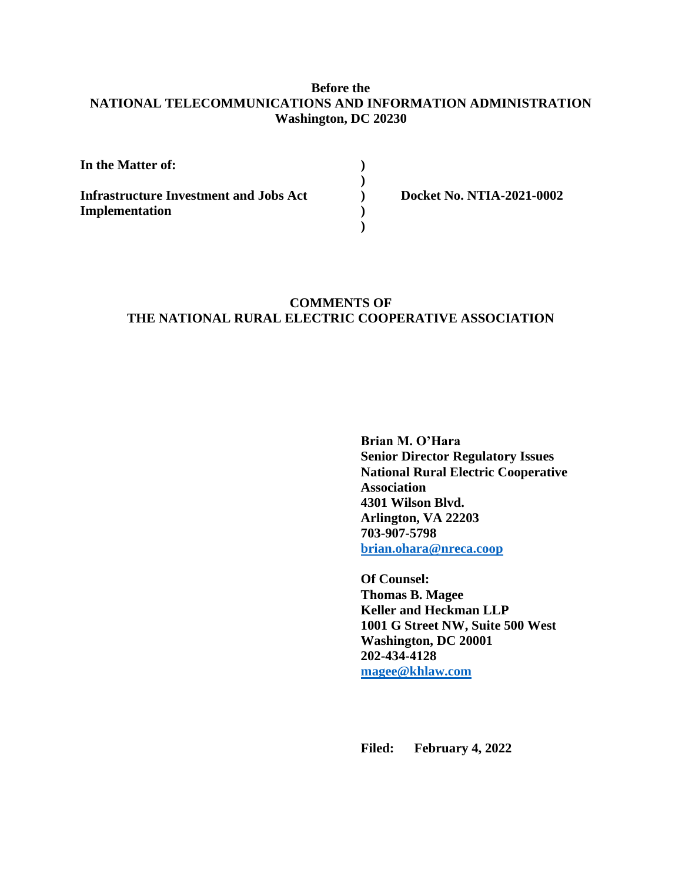# **Before the NATIONAL TELECOMMUNICATIONS AND INFORMATION ADMINISTRATION Washington, DC 20230**

| In the Matter of:                             |                                  |
|-----------------------------------------------|----------------------------------|
|                                               |                                  |
| <b>Infrastructure Investment and Jobs Act</b> | <b>Docket No. NTIA-2021-0002</b> |
| Implementation                                |                                  |
|                                               |                                  |

# **COMMENTS OF THE NATIONAL RURAL ELECTRIC COOPERATIVE ASSOCIATION**

**Brian M. O'Hara Senior Director Regulatory Issues National Rural Electric Cooperative Association 4301 Wilson Blvd. Arlington, VA 22203 703-907-5798 [brian.ohara@nreca.coop](mailto:brian.ohara@nreca.coop)**

**Of Counsel: Thomas B. Magee Keller and Heckman LLP 1001 G Street NW, Suite 500 West Washington, DC 20001 202-434-4128 [magee@khlaw.com](mailto:magee@khlaw.com)**

**Filed: February 4, 2022**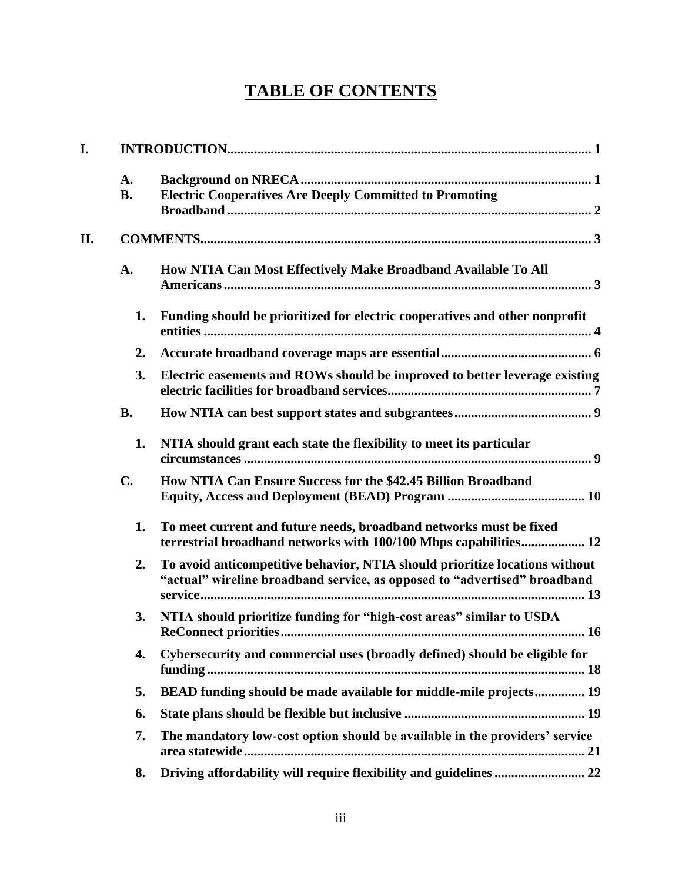# **TABLE OF CONTENTS**

| I.  |                 |                                                                                                                                                          |  |  |  |
|-----|-----------------|----------------------------------------------------------------------------------------------------------------------------------------------------------|--|--|--|
|     | A.<br><b>B.</b> | <b>Electric Cooperatives Are Deeply Committed to Promoting</b>                                                                                           |  |  |  |
| II. |                 |                                                                                                                                                          |  |  |  |
|     | A.              | How NTIA Can Most Effectively Make Broadband Available To All                                                                                            |  |  |  |
|     | 1.              | Funding should be prioritized for electric cooperatives and other nonprofit                                                                              |  |  |  |
|     | 2.              |                                                                                                                                                          |  |  |  |
|     | 3.              | Electric easements and ROWs should be improved to better leverage existing                                                                               |  |  |  |
|     | <b>B.</b>       |                                                                                                                                                          |  |  |  |
|     | 1.              | NTIA should grant each state the flexibility to meet its particular                                                                                      |  |  |  |
|     | C.              | How NTIA Can Ensure Success for the \$42.45 Billion Broadband                                                                                            |  |  |  |
|     | 1.              | To meet current and future needs, broadband networks must be fixed<br>terrestrial broadband networks with 100/100 Mbps capabilities 12                   |  |  |  |
|     | 2.              | To avoid anticompetitive behavior, NTIA should prioritize locations without<br>"actual" wireline broadband service, as opposed to "advertised" broadband |  |  |  |
|     | 3.              | NTIA should prioritize funding for "high-cost areas" similar to USDA                                                                                     |  |  |  |
|     | 4.              | Cybersecurity and commercial uses (broadly defined) should be eligible for                                                                               |  |  |  |
|     | 5.              | BEAD funding should be made available for middle-mile projects 19                                                                                        |  |  |  |
|     | 6.              |                                                                                                                                                          |  |  |  |
|     | 7.              | The mandatory low-cost option should be available in the providers' service                                                                              |  |  |  |
|     | 8.              |                                                                                                                                                          |  |  |  |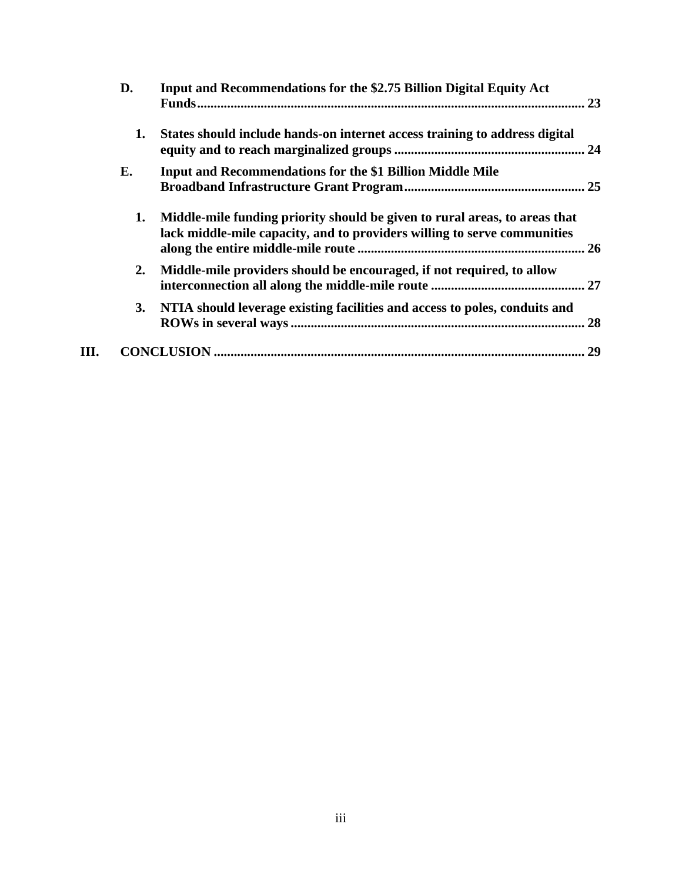|     | D.        | Input and Recommendations for the \$2.75 Billion Digital Equity Act                                                                                    |    |
|-----|-----------|--------------------------------------------------------------------------------------------------------------------------------------------------------|----|
|     | 1.        | States should include hands-on internet access training to address digital                                                                             |    |
|     | Е.        | Input and Recommendations for the \$1 Billion Middle Mile                                                                                              |    |
|     | 1.        | Middle-mile funding priority should be given to rural areas, to areas that<br>lack middle-mile capacity, and to providers willing to serve communities | 26 |
|     | 2.        | Middle-mile providers should be encouraged, if not required, to allow                                                                                  |    |
|     | <b>3.</b> | NTIA should leverage existing facilities and access to poles, conduits and                                                                             | 28 |
| HL. |           |                                                                                                                                                        | 29 |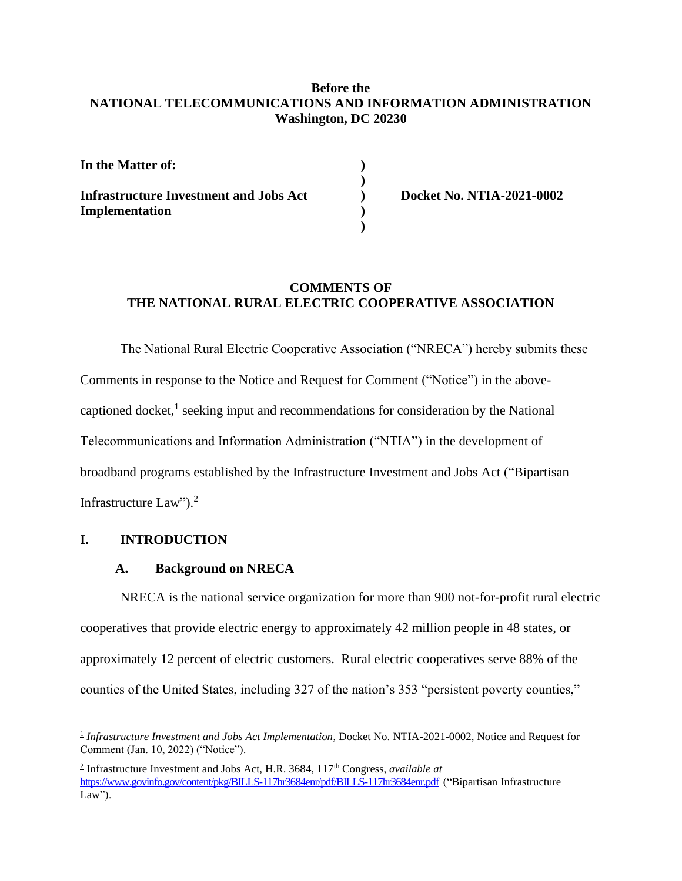# **Before the NATIONAL TELECOMMUNICATIONS AND INFORMATION ADMINISTRATION Washington, DC 20230**

| In the Matter of:                             |                                  |
|-----------------------------------------------|----------------------------------|
| <b>Infrastructure Investment and Jobs Act</b> | <b>Docket No. NTIA-2021-0002</b> |
| Implementation                                |                                  |
|                                               |                                  |

# **COMMENTS OF THE NATIONAL RURAL ELECTRIC COOPERATIVE ASSOCIATION**

The National Rural Electric Cooperative Association ("NRECA") hereby submits these Comments in response to the Notice and Request for Comment ("Notice") in the abovecaptioned docket, $\frac{1}{2}$  seeking input and recommendations for consideration by the National Telecommunications and Information Administration ("NTIA") in the development of broadband programs established by the Infrastructure Investment and Jobs Act ("Bipartisan Infrastructure Law").<sup>2</sup>

# **I. INTRODUCTION**

## **A. Background on NRECA**

NRECA is the national service organization for more than 900 not-for-profit rural electric cooperatives that provide electric energy to approximately 42 million people in 48 states, or approximately 12 percent of electric customers. Rural electric cooperatives serve 88% of the counties of the United States, including 327 of the nation's 353 "persistent poverty counties,"

<sup>1</sup> *Infrastructure Investment and Jobs Act Implementation*, Docket No. NTIA-2021-0002, Notice and Request for Comment (Jan. 10, 2022) ("Notice").

<sup>&</sup>lt;sup>2</sup> Infrastructure Investment and Jobs Act, H.R. 3684, 117<sup>th</sup> Congress, *available at* <https://www.govinfo.gov/content/pkg/BILLS-117hr3684enr/pdf/BILLS-117hr3684enr.pdf> ("Bipartisan Infrastructure Law").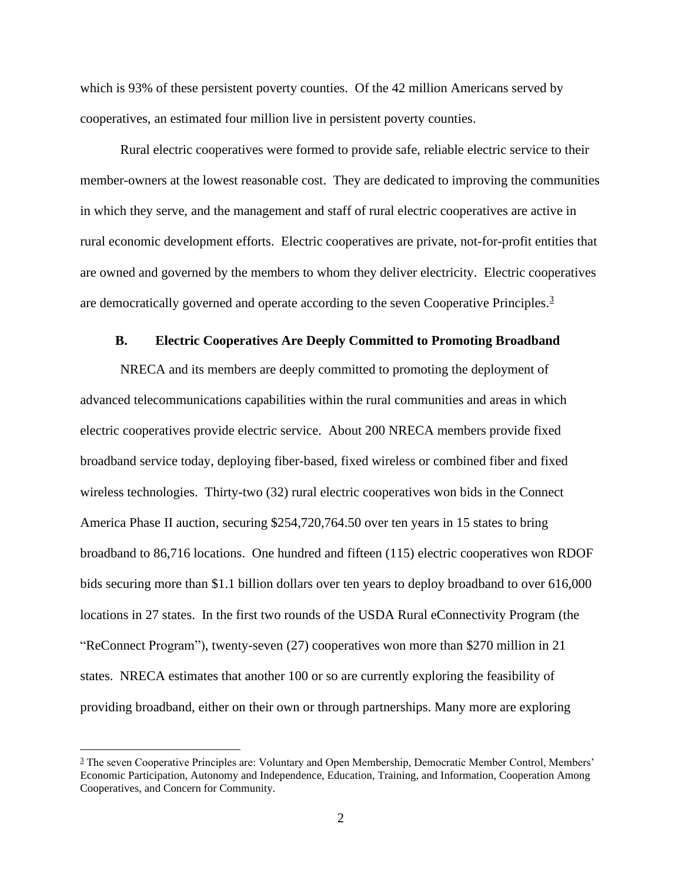which is 93% of these persistent poverty counties. Of the 42 million Americans served by cooperatives, an estimated four million live in persistent poverty counties.

Rural electric cooperatives were formed to provide safe, reliable electric service to their member-owners at the lowest reasonable cost. They are dedicated to improving the communities in which they serve, and the management and staff of rural electric cooperatives are active in rural economic development efforts. Electric cooperatives are private, not-for-profit entities that are owned and governed by the members to whom they deliver electricity. Electric cooperatives are democratically governed and operate according to the seven Cooperative Principles.<sup>3</sup>

#### **B. Electric Cooperatives Are Deeply Committed to Promoting Broadband**

NRECA and its members are deeply committed to promoting the deployment of advanced telecommunications capabilities within the rural communities and areas in which electric cooperatives provide electric service. About 200 NRECA members provide fixed broadband service today, deploying fiber-based, fixed wireless or combined fiber and fixed wireless technologies. Thirty-two (32) rural electric cooperatives won bids in the Connect America Phase II auction, securing \$254,720,764.50 over ten years in 15 states to bring broadband to 86,716 locations. One hundred and fifteen (115) electric cooperatives won RDOF bids securing more than \$1.1 billion dollars over ten years to deploy broadband to over 616,000 locations in 27 states. In the first two rounds of the USDA Rural eConnectivity Program (the "ReConnect Program"), twenty-seven (27) cooperatives won more than \$270 million in 21 states. NRECA estimates that another 100 or so are currently exploring the feasibility of providing broadband, either on their own or through partnerships. Many more are exploring

<sup>&</sup>lt;sup>3</sup> The seven Cooperative Principles are: Voluntary and Open Membership, Democratic Member Control, Members' Economic Participation, Autonomy and Independence, Education, Training, and Information, Cooperation Among Cooperatives, and Concern for Community.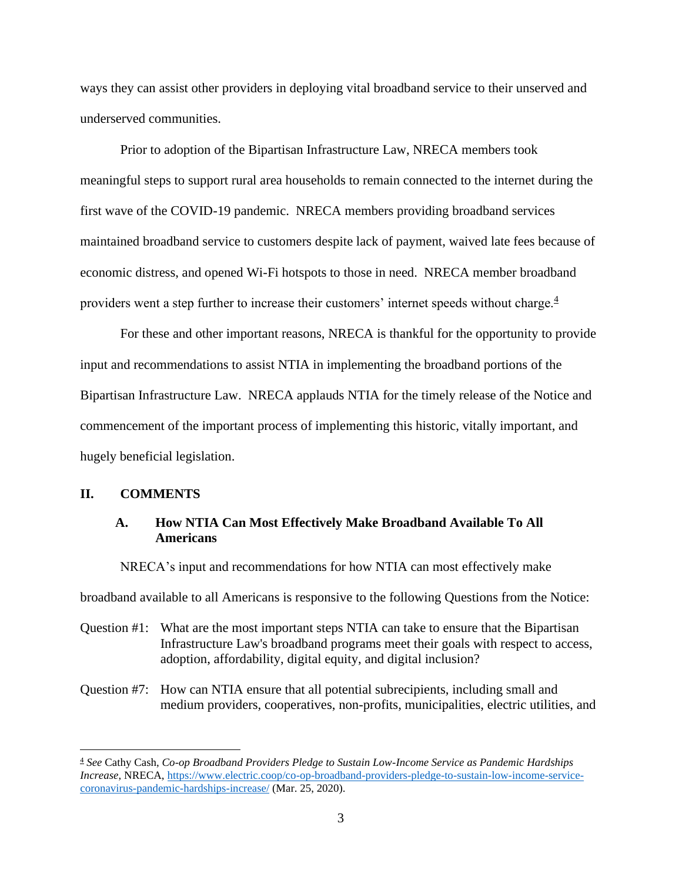ways they can assist other providers in deploying vital broadband service to their unserved and underserved communities.

Prior to adoption of the Bipartisan Infrastructure Law, NRECA members took meaningful steps to support rural area households to remain connected to the internet during the first wave of the COVID-19 pandemic. NRECA members providing broadband services maintained broadband service to customers despite lack of payment, waived late fees because of economic distress, and opened Wi-Fi hotspots to those in need. NRECA member broadband providers went a step further to increase their customers' internet speeds without charge. $4$ 

For these and other important reasons, NRECA is thankful for the opportunity to provide input and recommendations to assist NTIA in implementing the broadband portions of the Bipartisan Infrastructure Law. NRECA applauds NTIA for the timely release of the Notice and commencement of the important process of implementing this historic, vitally important, and hugely beneficial legislation.

#### **II. COMMENTS**

## **A. How NTIA Can Most Effectively Make Broadband Available To All Americans**

NRECA's input and recommendations for how NTIA can most effectively make

broadband available to all Americans is responsive to the following Questions from the Notice:

- Question #1: What are the most important steps NTIA can take to ensure that the Bipartisan Infrastructure Law's broadband programs meet their goals with respect to access, adoption, affordability, digital equity, and digital inclusion?
- Question #7: How can NTIA ensure that all potential subrecipients, including small and medium providers, cooperatives, non-profits, municipalities, electric utilities, and

<sup>4</sup> *See* Cathy Cash, *Co-op Broadband Providers Pledge to Sustain Low-Income Service as Pandemic Hardships Increase*, NRECA, [https://www.electric.coop/co-op-broadband-providers-pledge-to-sustain-low-income-service](https://www.electric.coop/co-op-broadband-providers-pledge-to-sustain-low-income-service-coronavirus-pandemic-hardships-increase/)[coronavirus-pandemic-hardships-increase/](https://www.electric.coop/co-op-broadband-providers-pledge-to-sustain-low-income-service-coronavirus-pandemic-hardships-increase/) (Mar. 25, 2020).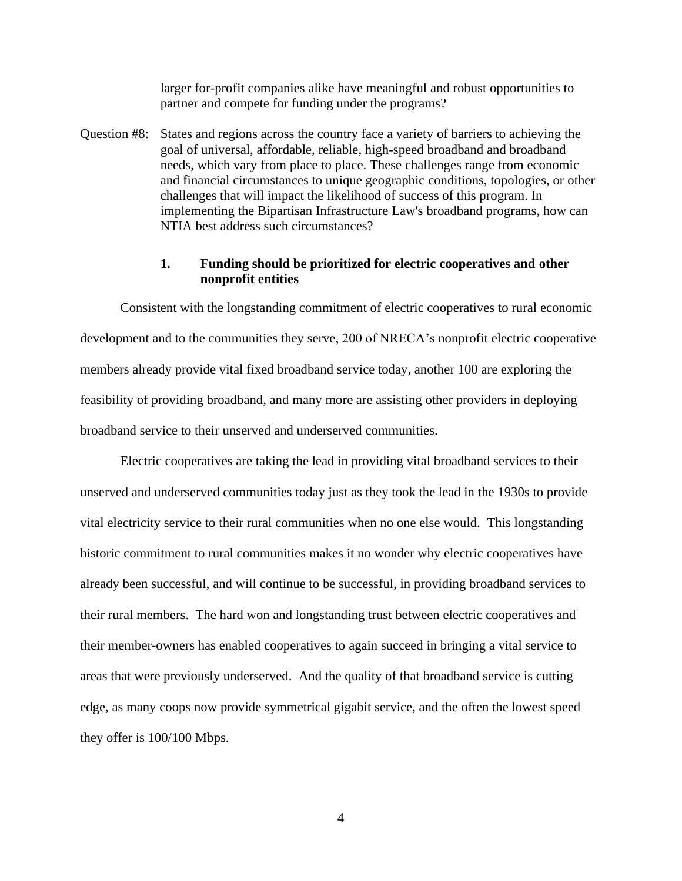larger for-profit companies alike have meaningful and robust opportunities to partner and compete for funding under the programs?

Question #8: States and regions across the country face a variety of barriers to achieving the goal of universal, affordable, reliable, high-speed broadband and broadband needs, which vary from place to place. These challenges range from economic and financial circumstances to unique geographic conditions, topologies, or other challenges that will impact the likelihood of success of this program. In implementing the Bipartisan Infrastructure Law's broadband programs, how can NTIA best address such circumstances?

## **1. Funding should be prioritized for electric cooperatives and other nonprofit entities**

Consistent with the longstanding commitment of electric cooperatives to rural economic development and to the communities they serve, 200 of NRECA's nonprofit electric cooperative members already provide vital fixed broadband service today, another 100 are exploring the feasibility of providing broadband, and many more are assisting other providers in deploying broadband service to their unserved and underserved communities.

Electric cooperatives are taking the lead in providing vital broadband services to their unserved and underserved communities today just as they took the lead in the 1930s to provide vital electricity service to their rural communities when no one else would. This longstanding historic commitment to rural communities makes it no wonder why electric cooperatives have already been successful, and will continue to be successful, in providing broadband services to their rural members. The hard won and longstanding trust between electric cooperatives and their member-owners has enabled cooperatives to again succeed in bringing a vital service to areas that were previously underserved. And the quality of that broadband service is cutting edge, as many coops now provide symmetrical gigabit service, and the often the lowest speed they offer is 100/100 Mbps.

4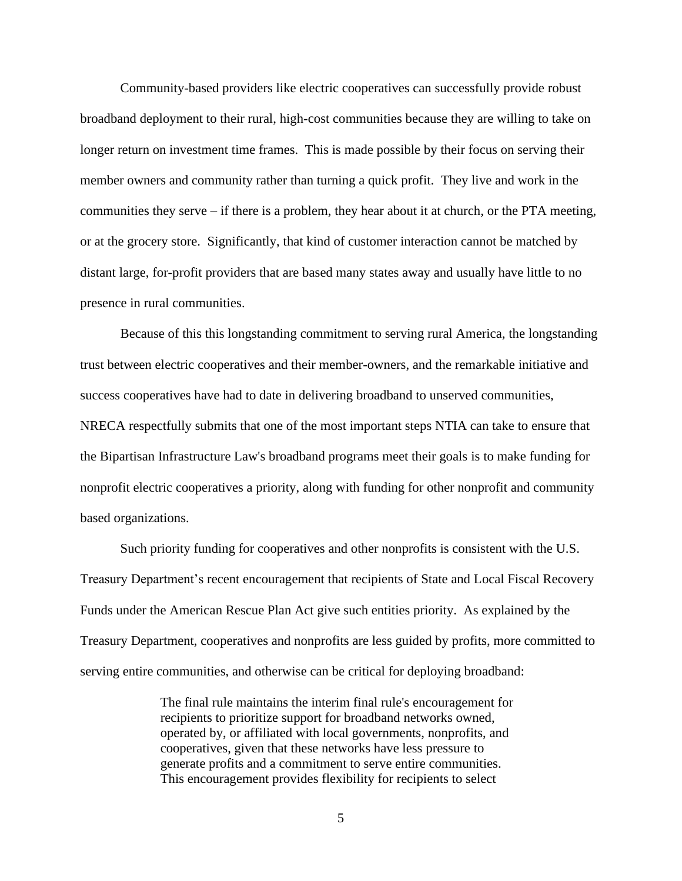Community-based providers like electric cooperatives can successfully provide robust broadband deployment to their rural, high-cost communities because they are willing to take on longer return on investment time frames. This is made possible by their focus on serving their member owners and community rather than turning a quick profit. They live and work in the communities they serve – if there is a problem, they hear about it at church, or the PTA meeting, or at the grocery store. Significantly, that kind of customer interaction cannot be matched by distant large, for-profit providers that are based many states away and usually have little to no presence in rural communities.

Because of this this longstanding commitment to serving rural America, the longstanding trust between electric cooperatives and their member-owners, and the remarkable initiative and success cooperatives have had to date in delivering broadband to unserved communities, NRECA respectfully submits that one of the most important steps NTIA can take to ensure that the Bipartisan Infrastructure Law's broadband programs meet their goals is to make funding for nonprofit electric cooperatives a priority, along with funding for other nonprofit and community based organizations.

Such priority funding for cooperatives and other nonprofits is consistent with the U.S. Treasury Department's recent encouragement that recipients of State and Local Fiscal Recovery Funds under the American Rescue Plan Act give such entities priority. As explained by the Treasury Department, cooperatives and nonprofits are less guided by profits, more committed to serving entire communities, and otherwise can be critical for deploying broadband:

> The final rule maintains the interim final rule's encouragement for recipients to prioritize support for broadband networks owned, operated by, or affiliated with local governments, nonprofits, and cooperatives, given that these networks have less pressure to generate profits and a commitment to serve entire communities. This encouragement provides flexibility for recipients to select

> > 5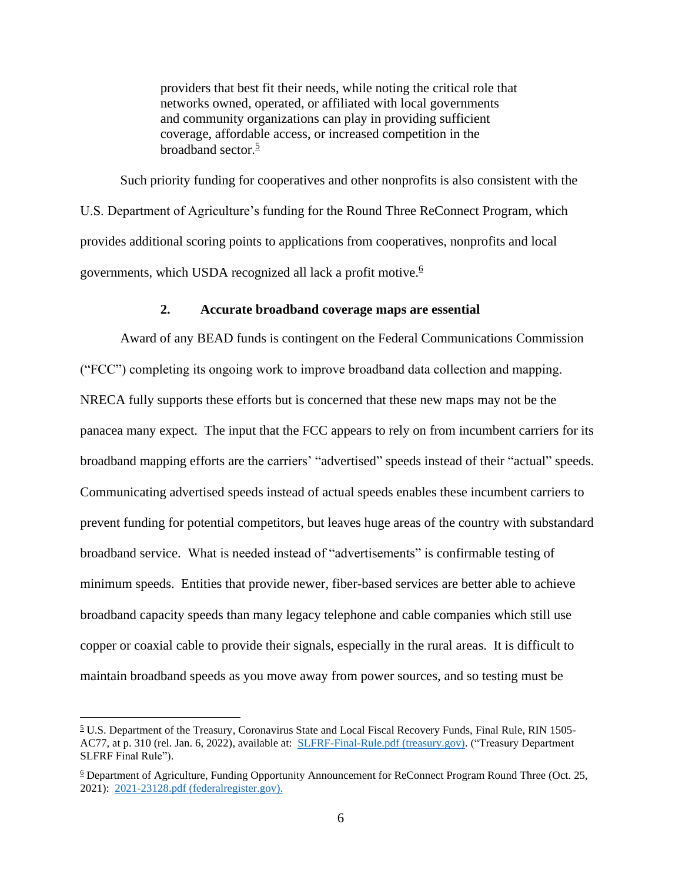providers that best fit their needs, while noting the critical role that networks owned, operated, or affiliated with local governments and community organizations can play in providing sufficient coverage, affordable access, or increased competition in the broadband sector.<sup>5</sup>

Such priority funding for cooperatives and other nonprofits is also consistent with the U.S. Department of Agriculture's funding for the Round Three ReConnect Program, which provides additional scoring points to applications from cooperatives, nonprofits and local governments, which USDA recognized all lack a profit motive.<sup>6</sup>

#### **2. Accurate broadband coverage maps are essential**

Award of any BEAD funds is contingent on the Federal Communications Commission ("FCC") completing its ongoing work to improve broadband data collection and mapping. NRECA fully supports these efforts but is concerned that these new maps may not be the panacea many expect. The input that the FCC appears to rely on from incumbent carriers for its broadband mapping efforts are the carriers' "advertised" speeds instead of their "actual" speeds. Communicating advertised speeds instead of actual speeds enables these incumbent carriers to prevent funding for potential competitors, but leaves huge areas of the country with substandard broadband service. What is needed instead of "advertisements" is confirmable testing of minimum speeds. Entities that provide newer, fiber-based services are better able to achieve broadband capacity speeds than many legacy telephone and cable companies which still use copper or coaxial cable to provide their signals, especially in the rural areas. It is difficult to maintain broadband speeds as you move away from power sources, and so testing must be

 $5$  U.S. Department of the Treasury, Coronavirus State and Local Fiscal Recovery Funds, Final Rule, RIN 1505-AC77, at p. 310 (rel. Jan. 6, 2022), available at: [SLFRF-Final-Rule.pdf \(treasury.gov\).](https://home.treasury.gov/system/files/136/SLFRF-Final-Rule.pdf) ("Treasury Department SLFRF Final Rule").

 $6$  Department of Agriculture, Funding Opportunity Announcement for ReConnect Program Round Three (Oct. 25, 2021): [2021-23128.pdf \(federalregister.gov\).](https://public-inspection.federalregister.gov/2021-23128.pdf)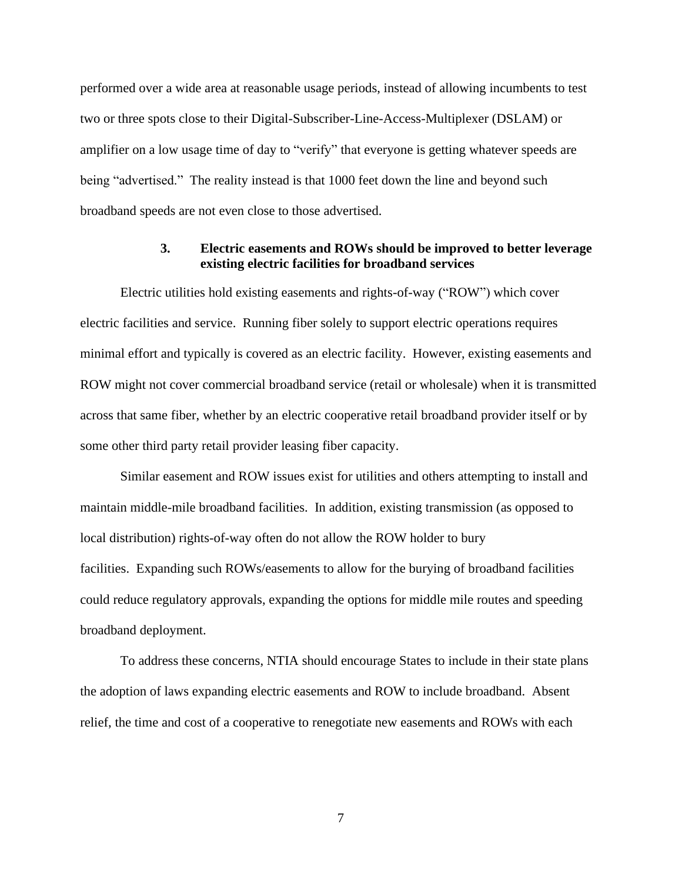performed over a wide area at reasonable usage periods, instead of allowing incumbents to test two or three spots close to their Digital-Subscriber-Line-Access-Multiplexer (DSLAM) or amplifier on a low usage time of day to "verify" that everyone is getting whatever speeds are being "advertised." The reality instead is that 1000 feet down the line and beyond such broadband speeds are not even close to those advertised.

## **3. Electric easements and ROWs should be improved to better leverage existing electric facilities for broadband services**

Electric utilities hold existing easements and rights-of-way ("ROW") which cover electric facilities and service. Running fiber solely to support electric operations requires minimal effort and typically is covered as an electric facility. However, existing easements and ROW might not cover commercial broadband service (retail or wholesale) when it is transmitted across that same fiber, whether by an electric cooperative retail broadband provider itself or by some other third party retail provider leasing fiber capacity.

Similar easement and ROW issues exist for utilities and others attempting to install and maintain middle-mile broadband facilities. In addition, existing transmission (as opposed to local distribution) rights-of-way often do not allow the ROW holder to bury facilities. Expanding such ROWs/easements to allow for the burying of broadband facilities could reduce regulatory approvals, expanding the options for middle mile routes and speeding broadband deployment.

To address these concerns, NTIA should encourage States to include in their state plans the adoption of laws expanding electric easements and ROW to include broadband. Absent relief, the time and cost of a cooperative to renegotiate new easements and ROWs with each

7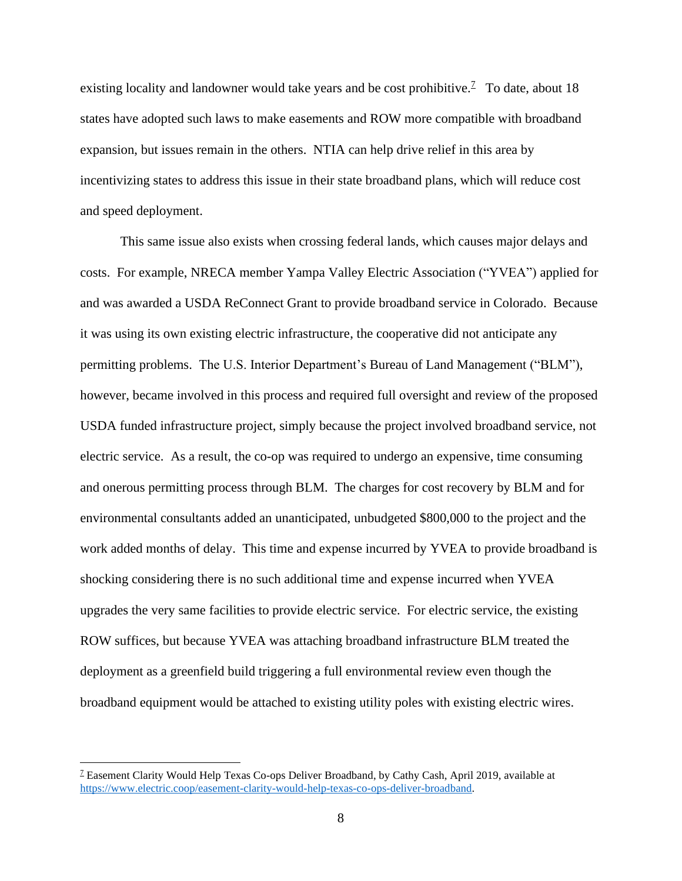existing locality and landowner would take years and be cost prohibitive.<sup> $7$ </sup> To date, about 18 states have adopted such laws to make easements and ROW more compatible with broadband expansion, but issues remain in the others. NTIA can help drive relief in this area by incentivizing states to address this issue in their state broadband plans, which will reduce cost and speed deployment.

This same issue also exists when crossing federal lands, which causes major delays and costs. For example, NRECA member Yampa Valley Electric Association ("YVEA") applied for and was awarded a USDA ReConnect Grant to provide broadband service in Colorado. Because it was using its own existing electric infrastructure, the cooperative did not anticipate any permitting problems. The U.S. Interior Department's Bureau of Land Management ("BLM"), however, became involved in this process and required full oversight and review of the proposed USDA funded infrastructure project, simply because the project involved broadband service, not electric service. As a result, the co-op was required to undergo an expensive, time consuming and onerous permitting process through BLM. The charges for cost recovery by BLM and for environmental consultants added an unanticipated, unbudgeted \$800,000 to the project and the work added months of delay. This time and expense incurred by YVEA to provide broadband is shocking considering there is no such additional time and expense incurred when YVEA upgrades the very same facilities to provide electric service. For electric service, the existing ROW suffices, but because YVEA was attaching broadband infrastructure BLM treated the deployment as a greenfield build triggering a full environmental review even though the broadband equipment would be attached to existing utility poles with existing electric wires.

<sup>&</sup>lt;sup>7</sup> Easement Clarity Would Help Texas Co-ops Deliver Broadband, by Cathy Cash, April 2019, available at [https://www.electric.coop/easement-clarity-would-help-texas-co-ops-deliver-broadband.](https://www.electric.coop/easement-clarity-would-help-texas-co-ops-deliver-broadband)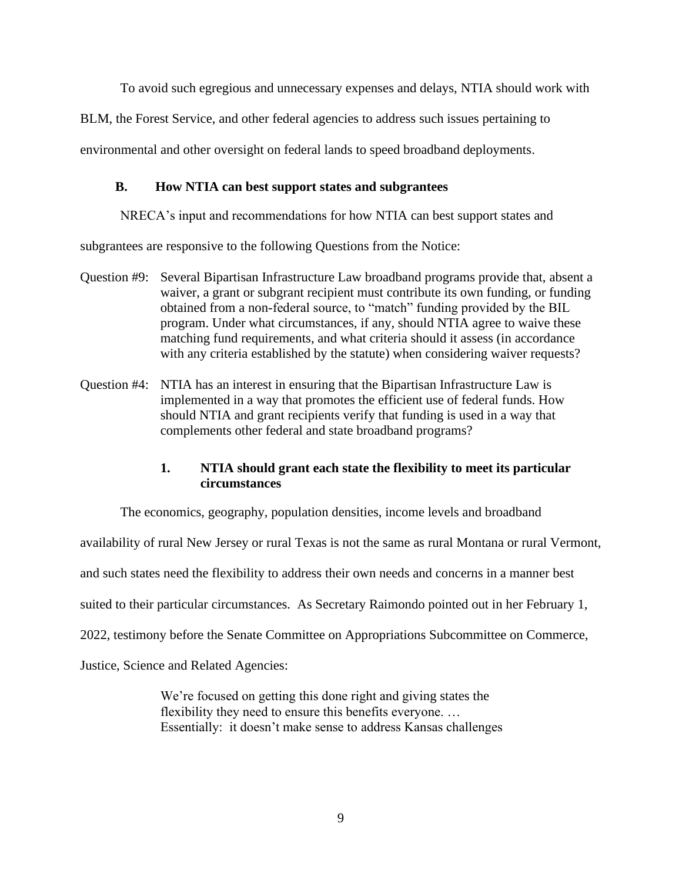To avoid such egregious and unnecessary expenses and delays, NTIA should work with

BLM, the Forest Service, and other federal agencies to address such issues pertaining to

environmental and other oversight on federal lands to speed broadband deployments.

## **B. How NTIA can best support states and subgrantees**

NRECA's input and recommendations for how NTIA can best support states and

subgrantees are responsive to the following Questions from the Notice:

- Question #9: Several Bipartisan Infrastructure Law broadband programs provide that, absent a waiver, a grant or subgrant recipient must contribute its own funding, or funding obtained from a non-federal source, to "match" funding provided by the BIL program. Under what circumstances, if any, should NTIA agree to waive these matching fund requirements, and what criteria should it assess (in accordance with any criteria established by the statute) when considering waiver requests?
- Question #4: NTIA has an interest in ensuring that the Bipartisan Infrastructure Law is implemented in a way that promotes the efficient use of federal funds. How should NTIA and grant recipients verify that funding is used in a way that complements other federal and state broadband programs?

# **1. NTIA should grant each state the flexibility to meet its particular circumstances**

The economics, geography, population densities, income levels and broadband

availability of rural New Jersey or rural Texas is not the same as rural Montana or rural Vermont,

and such states need the flexibility to address their own needs and concerns in a manner best

suited to their particular circumstances. As Secretary Raimondo pointed out in her February 1,

2022, testimony before the Senate Committee on Appropriations Subcommittee on Commerce,

Justice, Science and Related Agencies:

We're focused on getting this done right and giving states the flexibility they need to ensure this benefits everyone. … Essentially: it doesn't make sense to address Kansas challenges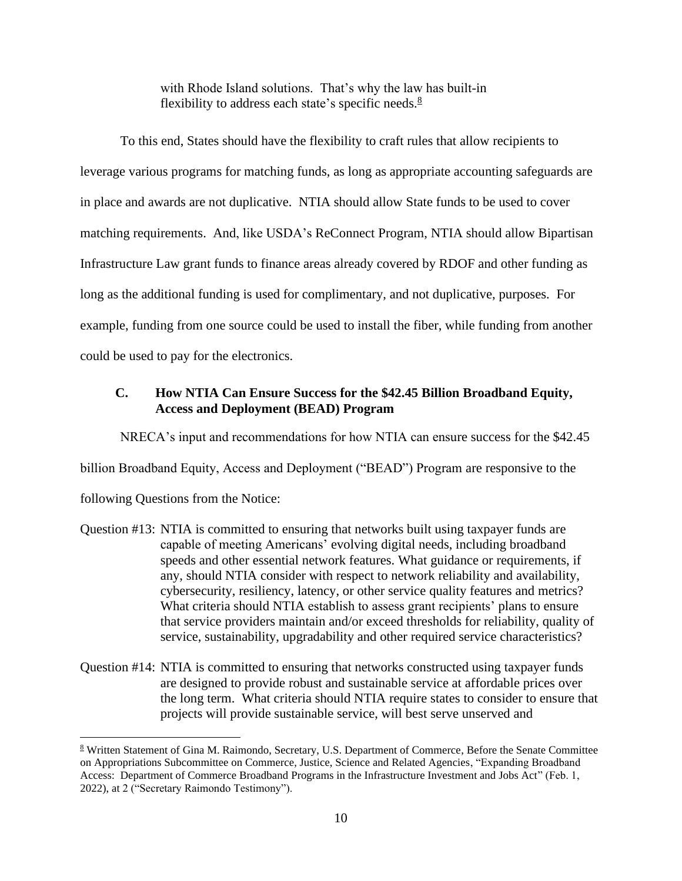with Rhode Island solutions. That's why the law has built-in flexibility to address each state's specific needs. $\frac{8}{3}$ 

To this end, States should have the flexibility to craft rules that allow recipients to leverage various programs for matching funds, as long as appropriate accounting safeguards are in place and awards are not duplicative. NTIA should allow State funds to be used to cover matching requirements. And, like USDA's ReConnect Program, NTIA should allow Bipartisan Infrastructure Law grant funds to finance areas already covered by RDOF and other funding as long as the additional funding is used for complimentary, and not duplicative, purposes. For example, funding from one source could be used to install the fiber, while funding from another could be used to pay for the electronics.

## **C. How NTIA Can Ensure Success for the \$42.45 Billion Broadband Equity, Access and Deployment (BEAD) Program**

NRECA's input and recommendations for how NTIA can ensure success for the \$42.45

billion Broadband Equity, Access and Deployment ("BEAD") Program are responsive to the

following Questions from the Notice:

- Question #13: NTIA is committed to ensuring that networks built using taxpayer funds are capable of meeting Americans' evolving digital needs, including broadband speeds and other essential network features. What guidance or requirements, if any, should NTIA consider with respect to network reliability and availability, cybersecurity, resiliency, latency, or other service quality features and metrics? What criteria should NTIA establish to assess grant recipients' plans to ensure that service providers maintain and/or exceed thresholds for reliability, quality of service, sustainability, upgradability and other required service characteristics?
- Question #14: NTIA is committed to ensuring that networks constructed using taxpayer funds are designed to provide robust and sustainable service at affordable prices over the long term. What criteria should NTIA require states to consider to ensure that projects will provide sustainable service, will best serve unserved and

<sup>&</sup>lt;sup>8</sup> Written Statement of Gina M. Raimondo, Secretary, U.S. Department of Commerce, Before the Senate Committee on Appropriations Subcommittee on Commerce, Justice, Science and Related Agencies, "Expanding Broadband Access: Department of Commerce Broadband Programs in the Infrastructure Investment and Jobs Act" (Feb. 1, 2022), at 2 ("Secretary Raimondo Testimony").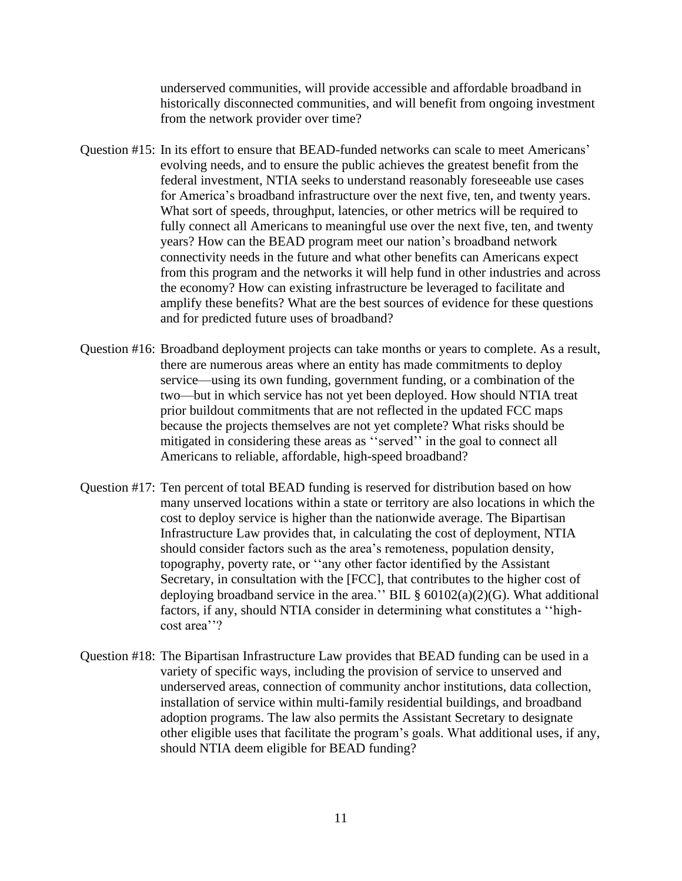underserved communities, will provide accessible and affordable broadband in historically disconnected communities, and will benefit from ongoing investment from the network provider over time?

- Question #15: In its effort to ensure that BEAD-funded networks can scale to meet Americans' evolving needs, and to ensure the public achieves the greatest benefit from the federal investment, NTIA seeks to understand reasonably foreseeable use cases for America's broadband infrastructure over the next five, ten, and twenty years. What sort of speeds, throughput, latencies, or other metrics will be required to fully connect all Americans to meaningful use over the next five, ten, and twenty years? How can the BEAD program meet our nation's broadband network connectivity needs in the future and what other benefits can Americans expect from this program and the networks it will help fund in other industries and across the economy? How can existing infrastructure be leveraged to facilitate and amplify these benefits? What are the best sources of evidence for these questions and for predicted future uses of broadband?
- Question #16: Broadband deployment projects can take months or years to complete. As a result, there are numerous areas where an entity has made commitments to deploy service—using its own funding, government funding, or a combination of the two—but in which service has not yet been deployed. How should NTIA treat prior buildout commitments that are not reflected in the updated FCC maps because the projects themselves are not yet complete? What risks should be mitigated in considering these areas as ''served'' in the goal to connect all Americans to reliable, affordable, high-speed broadband?
- Question #17: Ten percent of total BEAD funding is reserved for distribution based on how many unserved locations within a state or territory are also locations in which the cost to deploy service is higher than the nationwide average. The Bipartisan Infrastructure Law provides that, in calculating the cost of deployment, NTIA should consider factors such as the area's remoteness, population density, topography, poverty rate, or ''any other factor identified by the Assistant Secretary, in consultation with the [FCC], that contributes to the higher cost of deploying broadband service in the area.'' BIL  $\S$  60102(a)(2)(G). What additional factors, if any, should NTIA consider in determining what constitutes a ''highcost area''?
- Question #18: The Bipartisan Infrastructure Law provides that BEAD funding can be used in a variety of specific ways, including the provision of service to unserved and underserved areas, connection of community anchor institutions, data collection, installation of service within multi-family residential buildings, and broadband adoption programs. The law also permits the Assistant Secretary to designate other eligible uses that facilitate the program's goals. What additional uses, if any, should NTIA deem eligible for BEAD funding?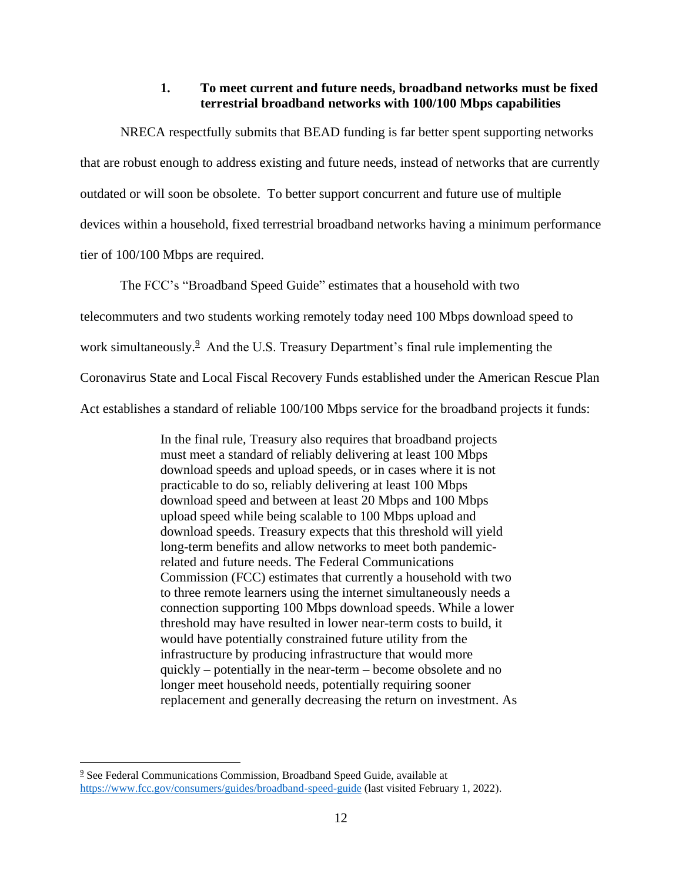## **1. To meet current and future needs, broadband networks must be fixed terrestrial broadband networks with 100/100 Mbps capabilities**

NRECA respectfully submits that BEAD funding is far better spent supporting networks that are robust enough to address existing and future needs, instead of networks that are currently outdated or will soon be obsolete. To better support concurrent and future use of multiple devices within a household, fixed terrestrial broadband networks having a minimum performance tier of 100/100 Mbps are required.

The FCC's "Broadband Speed Guide" estimates that a household with two telecommuters and two students working remotely today need 100 Mbps download speed to work simultaneously.<sup>9</sup> And the U.S. Treasury Department's final rule implementing the Coronavirus State and Local Fiscal Recovery Funds established under the American Rescue Plan Act establishes a standard of reliable 100/100 Mbps service for the broadband projects it funds:

> In the final rule, Treasury also requires that broadband projects must meet a standard of reliably delivering at least 100 Mbps download speeds and upload speeds, or in cases where it is not practicable to do so, reliably delivering at least 100 Mbps download speed and between at least 20 Mbps and 100 Mbps upload speed while being scalable to 100 Mbps upload and download speeds. Treasury expects that this threshold will yield long-term benefits and allow networks to meet both pandemicrelated and future needs. The Federal Communications Commission (FCC) estimates that currently a household with two to three remote learners using the internet simultaneously needs a connection supporting 100 Mbps download speeds. While a lower threshold may have resulted in lower near-term costs to build, it would have potentially constrained future utility from the infrastructure by producing infrastructure that would more quickly – potentially in the near-term – become obsolete and no longer meet household needs, potentially requiring sooner replacement and generally decreasing the return on investment. As

 $9$  See Federal Communications Commission, Broadband Speed Guide, available at <https://www.fcc.gov/consumers/guides/broadband-speed-guide> (last visited February 1, 2022).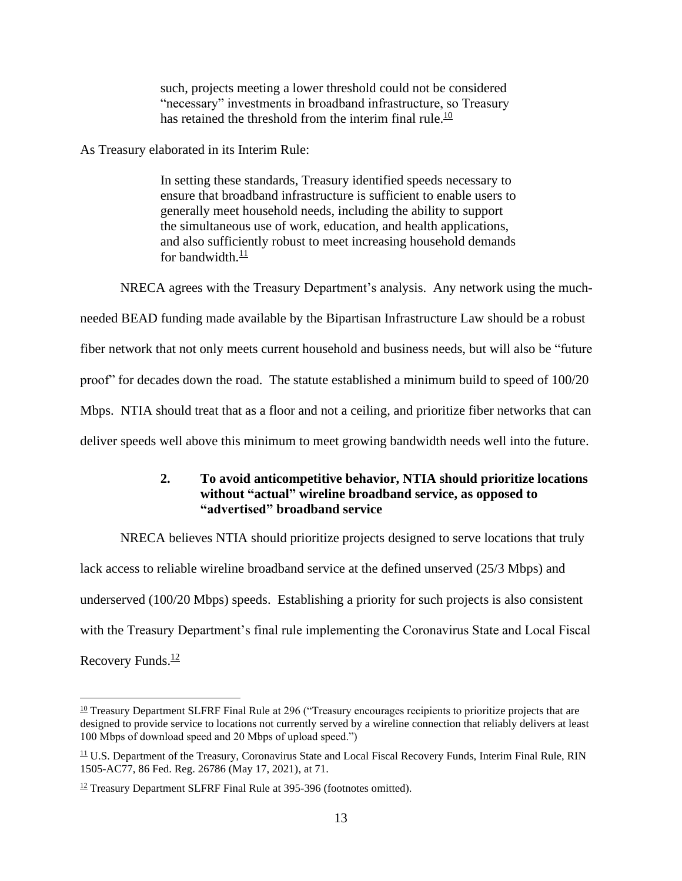such, projects meeting a lower threshold could not be considered "necessary" investments in broadband infrastructure, so Treasury has retained the threshold from the interim final rule. $10$ 

As Treasury elaborated in its Interim Rule:

In setting these standards, Treasury identified speeds necessary to ensure that broadband infrastructure is sufficient to enable users to generally meet household needs, including the ability to support the simultaneous use of work, education, and health applications, and also sufficiently robust to meet increasing household demands for bandwidth. $\frac{11}{1}$ 

NRECA agrees with the Treasury Department's analysis. Any network using the muchneeded BEAD funding made available by the Bipartisan Infrastructure Law should be a robust fiber network that not only meets current household and business needs, but will also be "future proof" for decades down the road. The statute established a minimum build to speed of 100/20 Mbps. NTIA should treat that as a floor and not a ceiling, and prioritize fiber networks that can deliver speeds well above this minimum to meet growing bandwidth needs well into the future.

# **2. To avoid anticompetitive behavior, NTIA should prioritize locations without "actual" wireline broadband service, as opposed to "advertised" broadband service**

NRECA believes NTIA should prioritize projects designed to serve locations that truly

lack access to reliable wireline broadband service at the defined unserved (25/3 Mbps) and underserved (100/20 Mbps) speeds. Establishing a priority for such projects is also consistent with the Treasury Department's final rule implementing the Coronavirus State and Local Fiscal Recovery Funds.<sup>12</sup>

 $10$  Treasury Department SLFRF Final Rule at 296 ("Treasury encourages recipients to prioritize projects that are designed to provide service to locations not currently served by a wireline connection that reliably delivers at least 100 Mbps of download speed and 20 Mbps of upload speed.")

<sup>11</sup> U.S. Department of the Treasury, Coronavirus State and Local Fiscal Recovery Funds, Interim Final Rule, RIN 1505-AC77, 86 Fed. Reg. 26786 (May 17, 2021), at 71.

<sup>&</sup>lt;sup>12</sup> Treasury Department SLFRF Final Rule at 395-396 (footnotes omitted).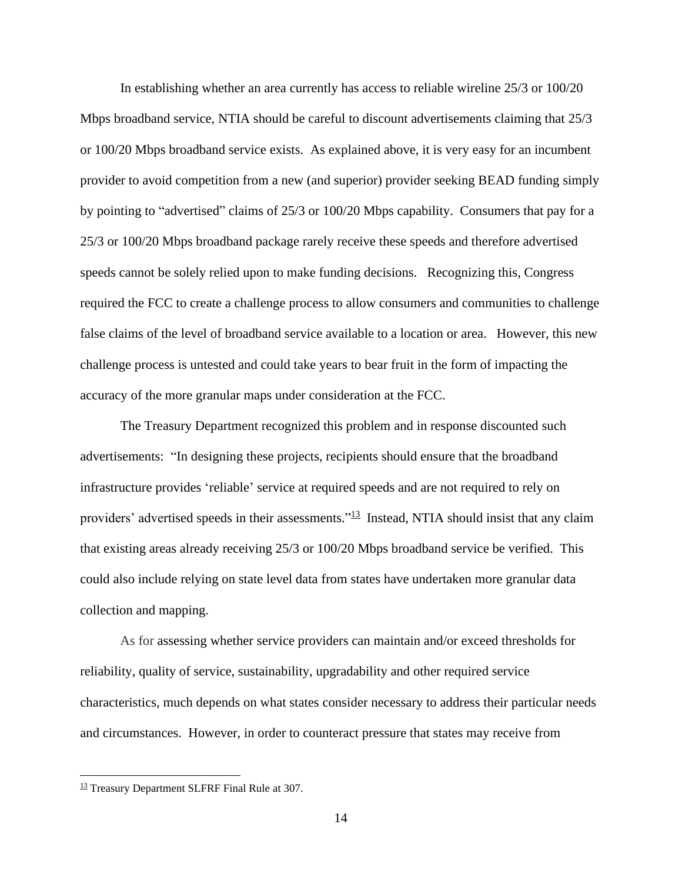In establishing whether an area currently has access to reliable wireline 25/3 or 100/20 Mbps broadband service, NTIA should be careful to discount advertisements claiming that 25/3 or 100/20 Mbps broadband service exists. As explained above, it is very easy for an incumbent provider to avoid competition from a new (and superior) provider seeking BEAD funding simply by pointing to "advertised" claims of 25/3 or 100/20 Mbps capability. Consumers that pay for a 25/3 or 100/20 Mbps broadband package rarely receive these speeds and therefore advertised speeds cannot be solely relied upon to make funding decisions. Recognizing this, Congress required the FCC to create a challenge process to allow consumers and communities to challenge false claims of the level of broadband service available to a location or area. However, this new challenge process is untested and could take years to bear fruit in the form of impacting the accuracy of the more granular maps under consideration at the FCC.

The Treasury Department recognized this problem and in response discounted such advertisements: "In designing these projects, recipients should ensure that the broadband infrastructure provides 'reliable' service at required speeds and are not required to rely on providers' advertised speeds in their assessments."<sup>13</sup> Instead, NTIA should insist that any claim that existing areas already receiving 25/3 or 100/20 Mbps broadband service be verified. This could also include relying on state level data from states have undertaken more granular data collection and mapping.

As for assessing whether service providers can maintain and/or exceed thresholds for reliability, quality of service, sustainability, upgradability and other required service characteristics, much depends on what states consider necessary to address their particular needs and circumstances. However, in order to counteract pressure that states may receive from

<sup>&</sup>lt;sup>13</sup> Treasury Department SLFRF Final Rule at 307.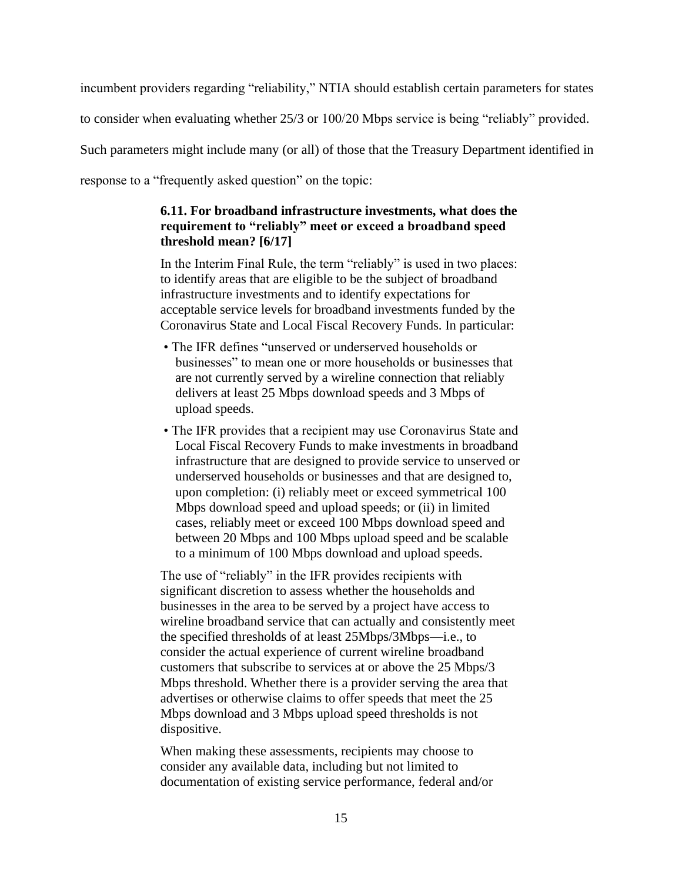incumbent providers regarding "reliability," NTIA should establish certain parameters for states

to consider when evaluating whether 25/3 or 100/20 Mbps service is being "reliably" provided.

Such parameters might include many (or all) of those that the Treasury Department identified in

response to a "frequently asked question" on the topic:

# **6.11. For broadband infrastructure investments, what does the requirement to "reliably" meet or exceed a broadband speed threshold mean? [6/17]**

In the Interim Final Rule, the term "reliably" is used in two places: to identify areas that are eligible to be the subject of broadband infrastructure investments and to identify expectations for acceptable service levels for broadband investments funded by the Coronavirus State and Local Fiscal Recovery Funds. In particular:

- The IFR defines "unserved or underserved households or businesses" to mean one or more households or businesses that are not currently served by a wireline connection that reliably delivers at least 25 Mbps download speeds and 3 Mbps of upload speeds.
- The IFR provides that a recipient may use Coronavirus State and Local Fiscal Recovery Funds to make investments in broadband infrastructure that are designed to provide service to unserved or underserved households or businesses and that are designed to, upon completion: (i) reliably meet or exceed symmetrical 100 Mbps download speed and upload speeds; or (ii) in limited cases, reliably meet or exceed 100 Mbps download speed and between 20 Mbps and 100 Mbps upload speed and be scalable to a minimum of 100 Mbps download and upload speeds.

The use of "reliably" in the IFR provides recipients with significant discretion to assess whether the households and businesses in the area to be served by a project have access to wireline broadband service that can actually and consistently meet the specified thresholds of at least 25Mbps/3Mbps—i.e., to consider the actual experience of current wireline broadband customers that subscribe to services at or above the 25 Mbps/3 Mbps threshold. Whether there is a provider serving the area that advertises or otherwise claims to offer speeds that meet the 25 Mbps download and 3 Mbps upload speed thresholds is not dispositive.

When making these assessments, recipients may choose to consider any available data, including but not limited to documentation of existing service performance, federal and/or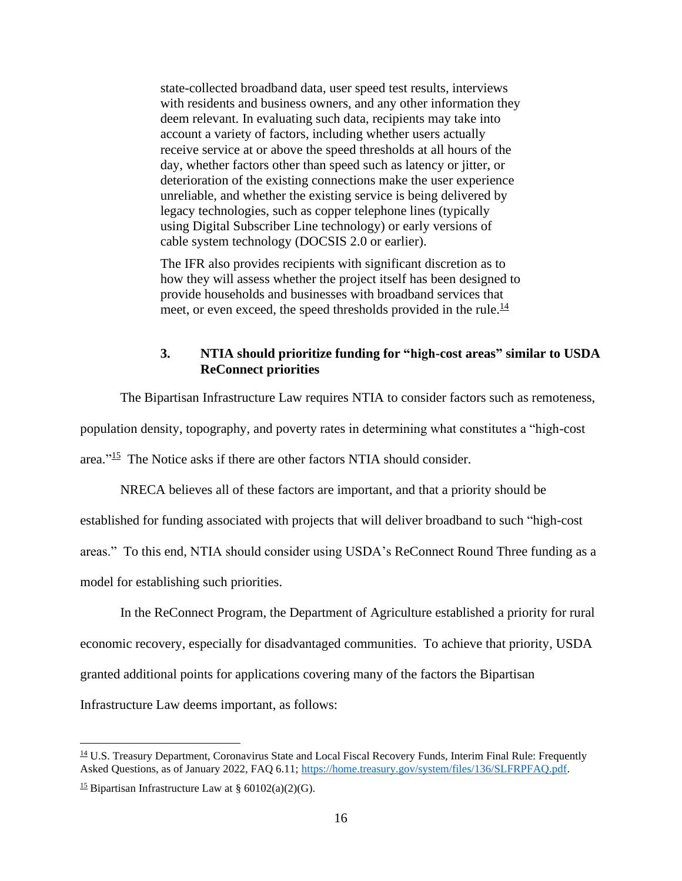state-collected broadband data, user speed test results, interviews with residents and business owners, and any other information they deem relevant. In evaluating such data, recipients may take into account a variety of factors, including whether users actually receive service at or above the speed thresholds at all hours of the day, whether factors other than speed such as latency or jitter, or deterioration of the existing connections make the user experience unreliable, and whether the existing service is being delivered by legacy technologies, such as copper telephone lines (typically using Digital Subscriber Line technology) or early versions of cable system technology (DOCSIS 2.0 or earlier).

The IFR also provides recipients with significant discretion as to how they will assess whether the project itself has been designed to provide households and businesses with broadband services that meet, or even exceed, the speed thresholds provided in the rule.<sup>14</sup>

## **3. NTIA should prioritize funding for "high-cost areas" similar to USDA ReConnect priorities**

The Bipartisan Infrastructure Law requires NTIA to consider factors such as remoteness,

population density, topography, and poverty rates in determining what constitutes a "high-cost

area."<sup>15</sup> The Notice asks if there are other factors NTIA should consider.

NRECA believes all of these factors are important, and that a priority should be

established for funding associated with projects that will deliver broadband to such "high-cost

areas." To this end, NTIA should consider using USDA's ReConnect Round Three funding as a

model for establishing such priorities.

In the ReConnect Program, the Department of Agriculture established a priority for rural

economic recovery, especially for disadvantaged communities. To achieve that priority, USDA

granted additional points for applications covering many of the factors the Bipartisan

Infrastructure Law deems important, as follows:

<sup>&</sup>lt;sup>14</sup> U.S. Treasury Department, Coronavirus State and Local Fiscal Recovery Funds, Interim Final Rule: Frequently Asked Questions, as of January 2022, FAQ 6.11; [https://home.treasury.gov/system/files/136/SLFRPFAQ.pdf.](https://home.treasury.gov/system/files/136/SLFRPFAQ.pdf)

<sup>&</sup>lt;sup>15</sup> Bipartisan Infrastructure Law at §  $60102(a)(2)(G)$ .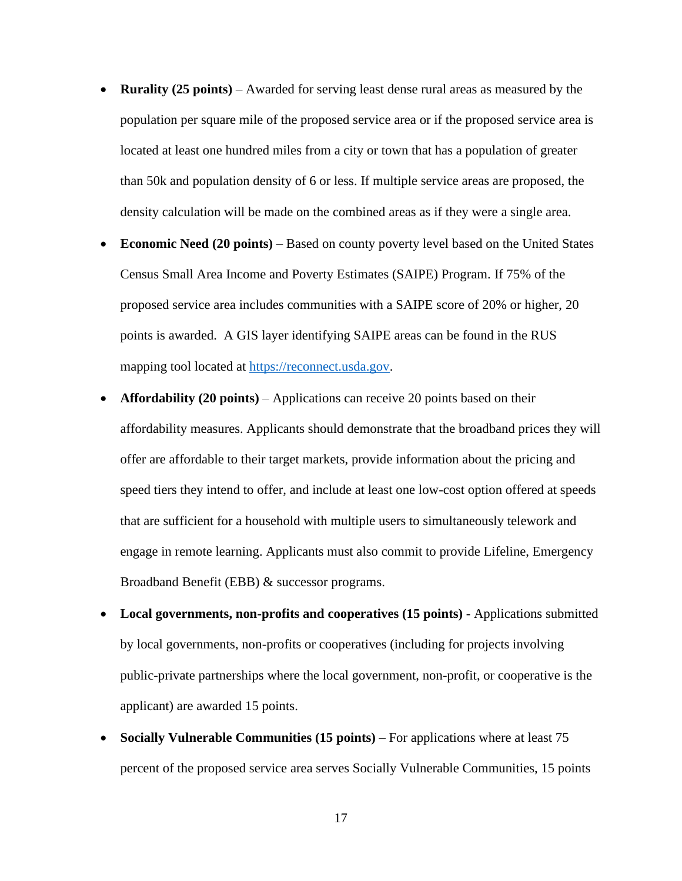- **Rurality (25 points)** Awarded for serving least dense rural areas as measured by the population per square mile of the proposed service area or if the proposed service area is located at least one hundred miles from a city or town that has a population of greater than 50k and population density of 6 or less. If multiple service areas are proposed, the density calculation will be made on the combined areas as if they were a single area.
- **Economic Need (20 points)** Based on county poverty level based on the United States Census Small Area Income and Poverty Estimates (SAIPE) Program. If 75% of the proposed service area includes communities with a SAIPE score of 20% or higher, 20 points is awarded. A GIS layer identifying SAIPE areas can be found in the RUS mapping tool located at [https://reconnect.usda.gov.](https://reconnect.usda.gov/)
- **Affordability (20 points)** Applications can receive 20 points based on their affordability measures. Applicants should demonstrate that the broadband prices they will offer are affordable to their target markets, provide information about the pricing and speed tiers they intend to offer, and include at least one low-cost option offered at speeds that are sufficient for a household with multiple users to simultaneously telework and engage in remote learning. Applicants must also commit to provide Lifeline, Emergency Broadband Benefit (EBB) & successor programs.
- **Local governments, non-profits and cooperatives (15 points)** Applications submitted by local governments, non-profits or cooperatives (including for projects involving public-private partnerships where the local government, non-profit, or cooperative is the applicant) are awarded 15 points.
- **Socially Vulnerable Communities (15 points)** For applications where at least 75 percent of the proposed service area serves Socially Vulnerable Communities, 15 points

17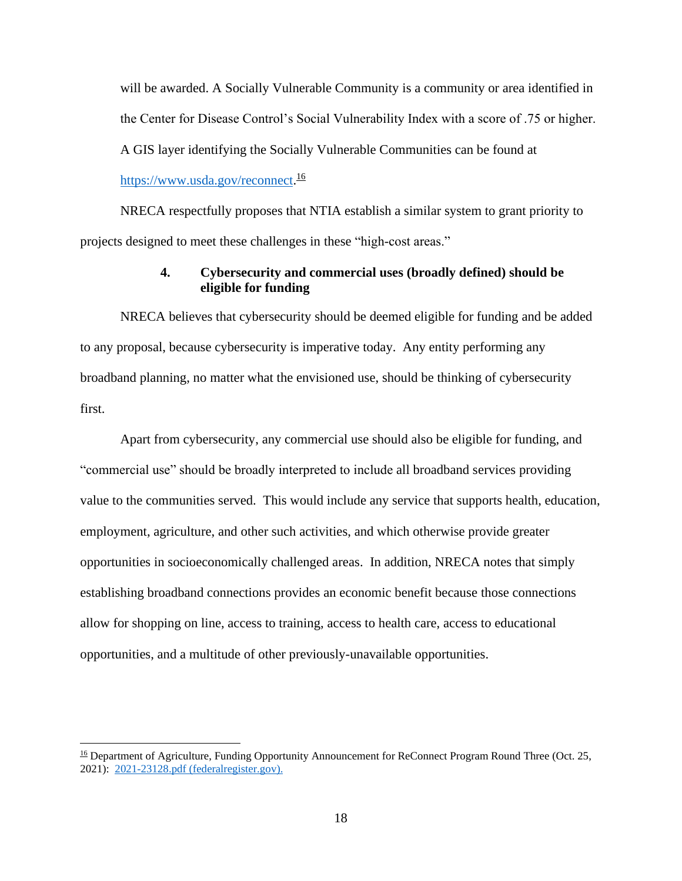will be awarded. A Socially Vulnerable Community is a community or area identified in the Center for Disease Control's Social Vulnerability Index with a score of .75 or higher. A GIS layer identifying the Socially Vulnerable Communities can be found at [https://www.usda.gov/reconnect.](https://www.usda.gov/reconnect)<sup>16</sup>

NRECA respectfully proposes that NTIA establish a similar system to grant priority to projects designed to meet these challenges in these "high-cost areas."

# **4. Cybersecurity and commercial uses (broadly defined) should be eligible for funding**

NRECA believes that cybersecurity should be deemed eligible for funding and be added to any proposal, because cybersecurity is imperative today. Any entity performing any broadband planning, no matter what the envisioned use, should be thinking of cybersecurity first.

Apart from cybersecurity, any commercial use should also be eligible for funding, and "commercial use" should be broadly interpreted to include all broadband services providing value to the communities served. This would include any service that supports health, education, employment, agriculture, and other such activities, and which otherwise provide greater opportunities in socioeconomically challenged areas. In addition, NRECA notes that simply establishing broadband connections provides an economic benefit because those connections allow for shopping on line, access to training, access to health care, access to educational opportunities, and a multitude of other previously-unavailable opportunities.

<sup>&</sup>lt;sup>16</sup> Department of Agriculture, Funding Opportunity Announcement for ReConnect Program Round Three (Oct. 25, 2021): [2021-23128.pdf \(federalregister.gov\).](https://public-inspection.federalregister.gov/2021-23128.pdf)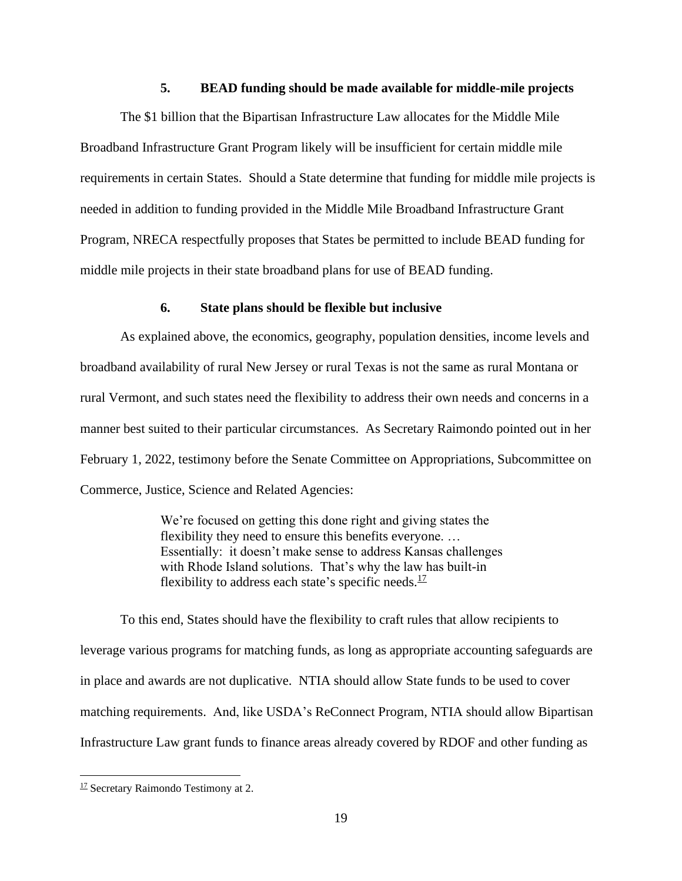#### **5. BEAD funding should be made available for middle-mile projects**

The \$1 billion that the Bipartisan Infrastructure Law allocates for the Middle Mile Broadband Infrastructure Grant Program likely will be insufficient for certain middle mile requirements in certain States. Should a State determine that funding for middle mile projects is needed in addition to funding provided in the Middle Mile Broadband Infrastructure Grant Program, NRECA respectfully proposes that States be permitted to include BEAD funding for middle mile projects in their state broadband plans for use of BEAD funding.

## **6. State plans should be flexible but inclusive**

As explained above, the economics, geography, population densities, income levels and broadband availability of rural New Jersey or rural Texas is not the same as rural Montana or rural Vermont, and such states need the flexibility to address their own needs and concerns in a manner best suited to their particular circumstances. As Secretary Raimondo pointed out in her February 1, 2022, testimony before the Senate Committee on Appropriations, Subcommittee on Commerce, Justice, Science and Related Agencies:

> We're focused on getting this done right and giving states the flexibility they need to ensure this benefits everyone. … Essentially: it doesn't make sense to address Kansas challenges with Rhode Island solutions. That's why the law has built-in flexibility to address each state's specific needs. $\frac{17}{12}$

To this end, States should have the flexibility to craft rules that allow recipients to leverage various programs for matching funds, as long as appropriate accounting safeguards are in place and awards are not duplicative. NTIA should allow State funds to be used to cover matching requirements. And, like USDA's ReConnect Program, NTIA should allow Bipartisan Infrastructure Law grant funds to finance areas already covered by RDOF and other funding as

<sup>&</sup>lt;sup>17</sup> Secretary Raimondo Testimony at 2.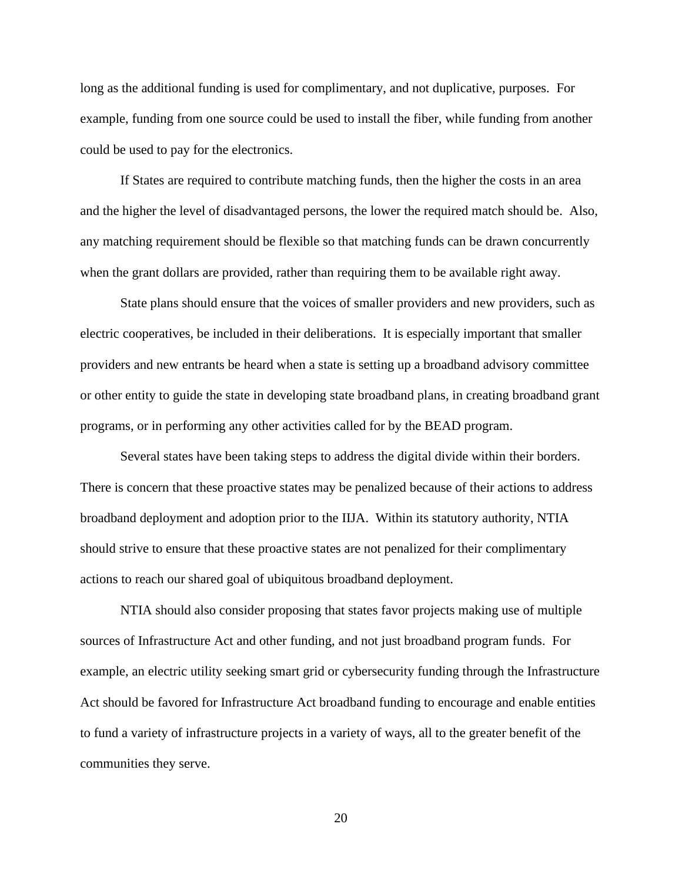long as the additional funding is used for complimentary, and not duplicative, purposes. For example, funding from one source could be used to install the fiber, while funding from another could be used to pay for the electronics.

If States are required to contribute matching funds, then the higher the costs in an area and the higher the level of disadvantaged persons, the lower the required match should be. Also, any matching requirement should be flexible so that matching funds can be drawn concurrently when the grant dollars are provided, rather than requiring them to be available right away.

State plans should ensure that the voices of smaller providers and new providers, such as electric cooperatives, be included in their deliberations. It is especially important that smaller providers and new entrants be heard when a state is setting up a broadband advisory committee or other entity to guide the state in developing state broadband plans, in creating broadband grant programs, or in performing any other activities called for by the BEAD program.

Several states have been taking steps to address the digital divide within their borders. There is concern that these proactive states may be penalized because of their actions to address broadband deployment and adoption prior to the IIJA. Within its statutory authority, NTIA should strive to ensure that these proactive states are not penalized for their complimentary actions to reach our shared goal of ubiquitous broadband deployment.

NTIA should also consider proposing that states favor projects making use of multiple sources of Infrastructure Act and other funding, and not just broadband program funds. For example, an electric utility seeking smart grid or cybersecurity funding through the Infrastructure Act should be favored for Infrastructure Act broadband funding to encourage and enable entities to fund a variety of infrastructure projects in a variety of ways, all to the greater benefit of the communities they serve.

20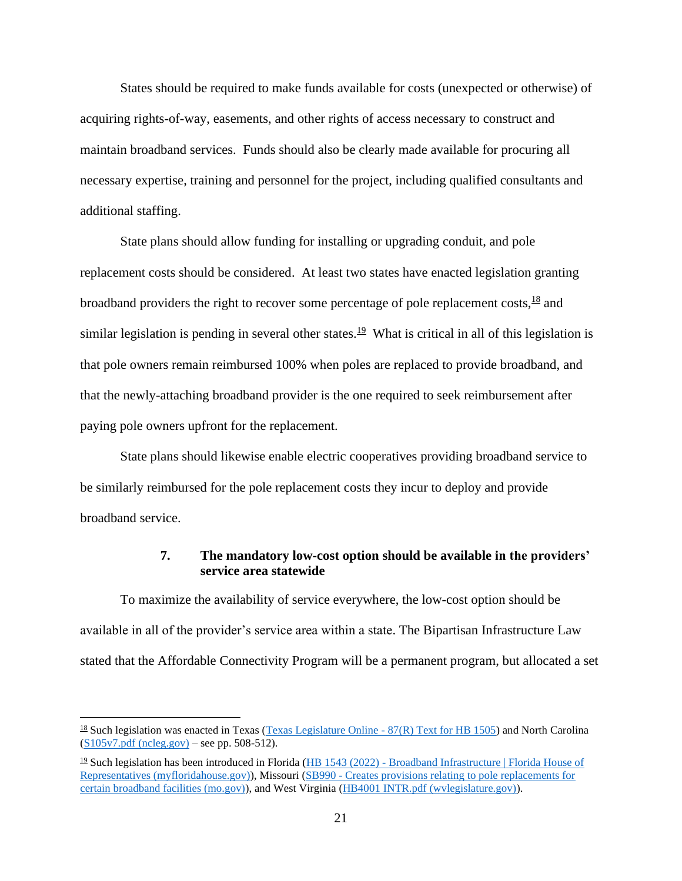States should be required to make funds available for costs (unexpected or otherwise) of acquiring rights-of-way, easements, and other rights of access necessary to construct and maintain broadband services. Funds should also be clearly made available for procuring all necessary expertise, training and personnel for the project, including qualified consultants and additional staffing.

State plans should allow funding for installing or upgrading conduit, and pole replacement costs should be considered. At least two states have enacted legislation granting broadband providers the right to recover some percentage of pole replacement costs,  $\frac{18}{18}$  and similar legislation is pending in several other states.<sup>19</sup> What is critical in all of this legislation is that pole owners remain reimbursed 100% when poles are replaced to provide broadband, and that the newly-attaching broadband provider is the one required to seek reimbursement after paying pole owners upfront for the replacement.

State plans should likewise enable electric cooperatives providing broadband service to be similarly reimbursed for the pole replacement costs they incur to deploy and provide broadband service.

## **7. The mandatory low-cost option should be available in the providers' service area statewide**

To maximize the availability of service everywhere, the low-cost option should be available in all of the provider's service area within a state. The Bipartisan Infrastructure Law stated that the Affordable Connectivity Program will be a permanent program, but allocated a set

<sup>&</sup>lt;sup>18</sup> Such legislation was enacted in Texas [\(Texas Legislature Online -](https://capitol.texas.gov/BillLookup/Text.aspx?LegSess=87R&Bill=HB1505) 87(R) Text for HB 1505) and North Carolina  $(S105v7.pdf$  (ncleg.gov) – see pp. 508-512).

<sup>&</sup>lt;sup>19</sup> Such legislation has been introduced in Florida (HB 1543 (2022) - Broadband Infrastructure | Florida House of [Representatives \(myfloridahouse.gov\)\)](https://urldefense.com/v3/__https:/www.myfloridahouse.gov/Sections/Bills/billsdetail.aspx?BillId=76535&__;!!OOh1rxM!gacJfOh1uq0TLQSsCQk1r8qH-1QUxoZkg_81wVsimAN2TzfGBPKyH8zW7dyy$), Missouri (SB990 - [Creates provisions relating to pole replacements for](https://www.senate.mo.gov/22info/BTS_Web/Bill.aspx?SessionType=R&BillID=71997795)  [certain broadband facilities \(mo.gov\)\)](https://www.senate.mo.gov/22info/BTS_Web/Bill.aspx?SessionType=R&BillID=71997795), and West Virginia [\(HB4001 INTR.pdf \(wvlegislature.gov\)\)](https://www.wvlegislature.gov/Bill_Text_HTML/2022_SESSIONS/RS/bills/HB4001%20INTR.pdf).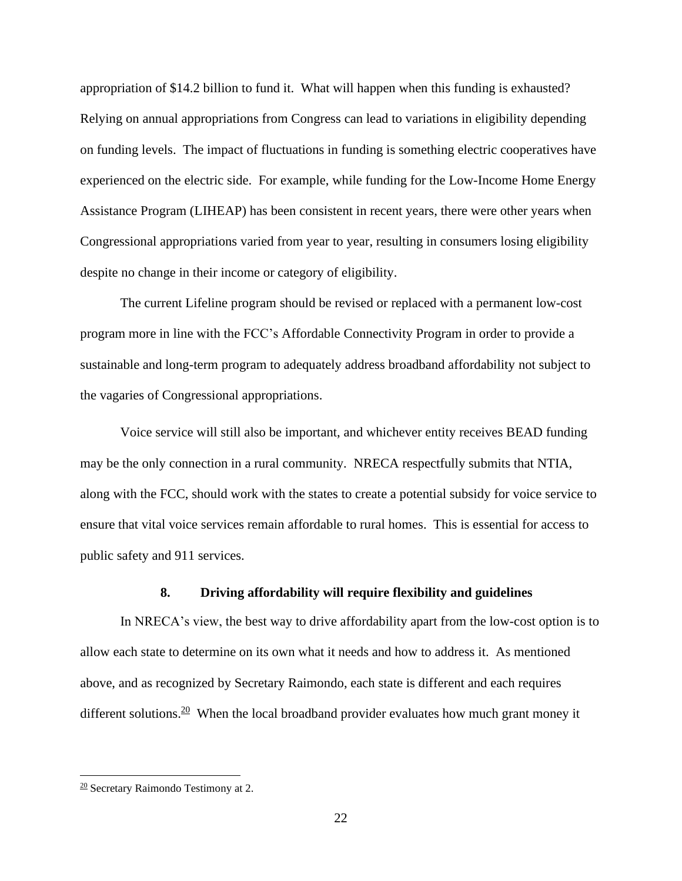appropriation of \$14.2 billion to fund it. What will happen when this funding is exhausted? Relying on annual appropriations from Congress can lead to variations in eligibility depending on funding levels. The impact of fluctuations in funding is something electric cooperatives have experienced on the electric side. For example, while funding for the Low-Income Home Energy Assistance Program (LIHEAP) has been consistent in recent years, there were other years when Congressional appropriations varied from year to year, resulting in consumers losing eligibility despite no change in their income or category of eligibility.

The current Lifeline program should be revised or replaced with a permanent low-cost program more in line with the FCC's Affordable Connectivity Program in order to provide a sustainable and long-term program to adequately address broadband affordability not subject to the vagaries of Congressional appropriations.

Voice service will still also be important, and whichever entity receives BEAD funding may be the only connection in a rural community. NRECA respectfully submits that NTIA, along with the FCC, should work with the states to create a potential subsidy for voice service to ensure that vital voice services remain affordable to rural homes. This is essential for access to public safety and 911 services.

#### **8. Driving affordability will require flexibility and guidelines**

In NRECA's view, the best way to drive affordability apart from the low-cost option is to allow each state to determine on its own what it needs and how to address it. As mentioned above, and as recognized by Secretary Raimondo, each state is different and each requires different solutions.<sup>20</sup> When the local broadband provider evaluates how much grant money it

<sup>20</sup> Secretary Raimondo Testimony at 2.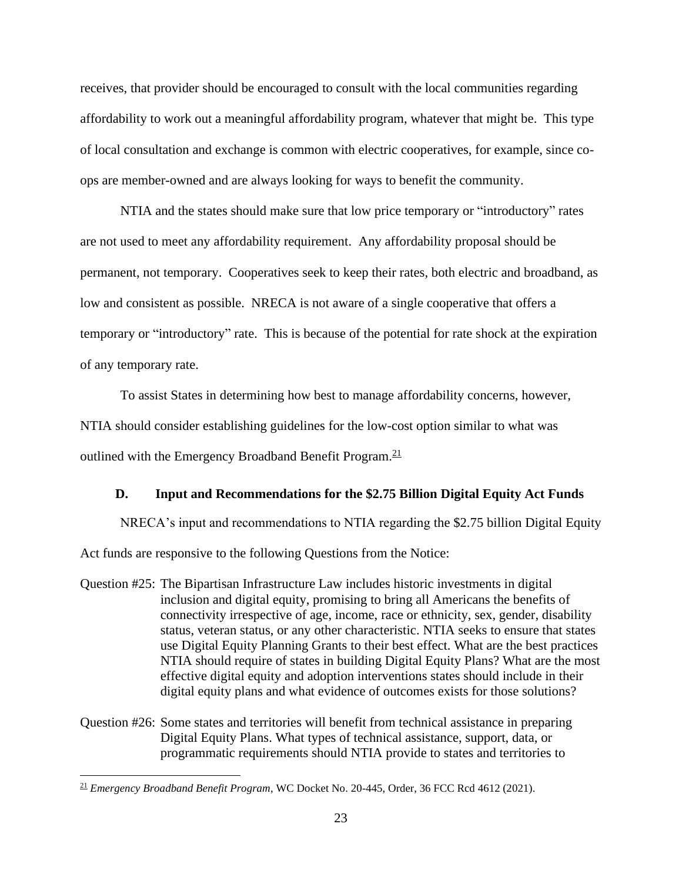receives, that provider should be encouraged to consult with the local communities regarding affordability to work out a meaningful affordability program, whatever that might be. This type of local consultation and exchange is common with electric cooperatives, for example, since coops are member-owned and are always looking for ways to benefit the community.

NTIA and the states should make sure that low price temporary or "introductory" rates are not used to meet any affordability requirement. Any affordability proposal should be permanent, not temporary. Cooperatives seek to keep their rates, both electric and broadband, as low and consistent as possible. NRECA is not aware of a single cooperative that offers a temporary or "introductory" rate. This is because of the potential for rate shock at the expiration of any temporary rate.

To assist States in determining how best to manage affordability concerns, however, NTIA should consider establishing guidelines for the low-cost option similar to what was outlined with the Emergency Broadband Benefit Program.<sup>21</sup>

#### **D. Input and Recommendations for the \$2.75 Billion Digital Equity Act Funds**

NRECA's input and recommendations to NTIA regarding the \$2.75 billion Digital Equity

Act funds are responsive to the following Questions from the Notice:

- Question #25: The Bipartisan Infrastructure Law includes historic investments in digital inclusion and digital equity, promising to bring all Americans the benefits of connectivity irrespective of age, income, race or ethnicity, sex, gender, disability status, veteran status, or any other characteristic. NTIA seeks to ensure that states use Digital Equity Planning Grants to their best effect. What are the best practices NTIA should require of states in building Digital Equity Plans? What are the most effective digital equity and adoption interventions states should include in their digital equity plans and what evidence of outcomes exists for those solutions?
- Question #26: Some states and territories will benefit from technical assistance in preparing Digital Equity Plans. What types of technical assistance, support, data, or programmatic requirements should NTIA provide to states and territories to

<sup>21</sup> *Emergency Broadband Benefit Program*, WC Docket No. 20-445, Order, 36 FCC Rcd 4612 (2021).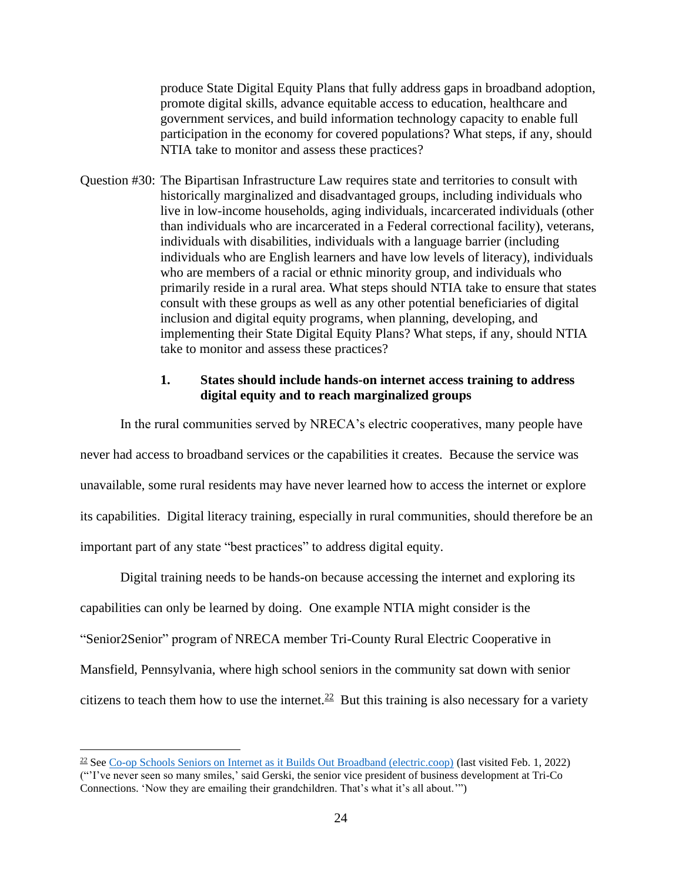produce State Digital Equity Plans that fully address gaps in broadband adoption, promote digital skills, advance equitable access to education, healthcare and government services, and build information technology capacity to enable full participation in the economy for covered populations? What steps, if any, should NTIA take to monitor and assess these practices?

Question #30: The Bipartisan Infrastructure Law requires state and territories to consult with historically marginalized and disadvantaged groups, including individuals who live in low-income households, aging individuals, incarcerated individuals (other than individuals who are incarcerated in a Federal correctional facility), veterans, individuals with disabilities, individuals with a language barrier (including individuals who are English learners and have low levels of literacy), individuals who are members of a racial or ethnic minority group, and individuals who primarily reside in a rural area. What steps should NTIA take to ensure that states consult with these groups as well as any other potential beneficiaries of digital inclusion and digital equity programs, when planning, developing, and implementing their State Digital Equity Plans? What steps, if any, should NTIA take to monitor and assess these practices?

## **1. States should include hands-on internet access training to address digital equity and to reach marginalized groups**

In the rural communities served by NRECA's electric cooperatives, many people have never had access to broadband services or the capabilities it creates. Because the service was unavailable, some rural residents may have never learned how to access the internet or explore its capabilities. Digital literacy training, especially in rural communities, should therefore be an important part of any state "best practices" to address digital equity.

Digital training needs to be hands-on because accessing the internet and exploring its capabilities can only be learned by doing. One example NTIA might consider is the "Senior2Senior" program of NRECA member Tri-County Rural Electric Cooperative in Mansfield, Pennsylvania, where high school seniors in the community sat down with senior citizens to teach them how to use the internet.<sup>22</sup> But this training is also necessary for a variety

<sup>22</sup> See [Co-op Schools Seniors on Internet as it Builds Out Broadband \(electric.coop\)](https://www.electric.coop/co-op-schools-seniors-on-internet-as-it-builds-out-broadband) (last visited Feb. 1, 2022) ("'I've never seen so many smiles,' said Gerski, the senior vice president of business development at Tri-Co Connections. 'Now they are emailing their grandchildren. That's what it's all about.'")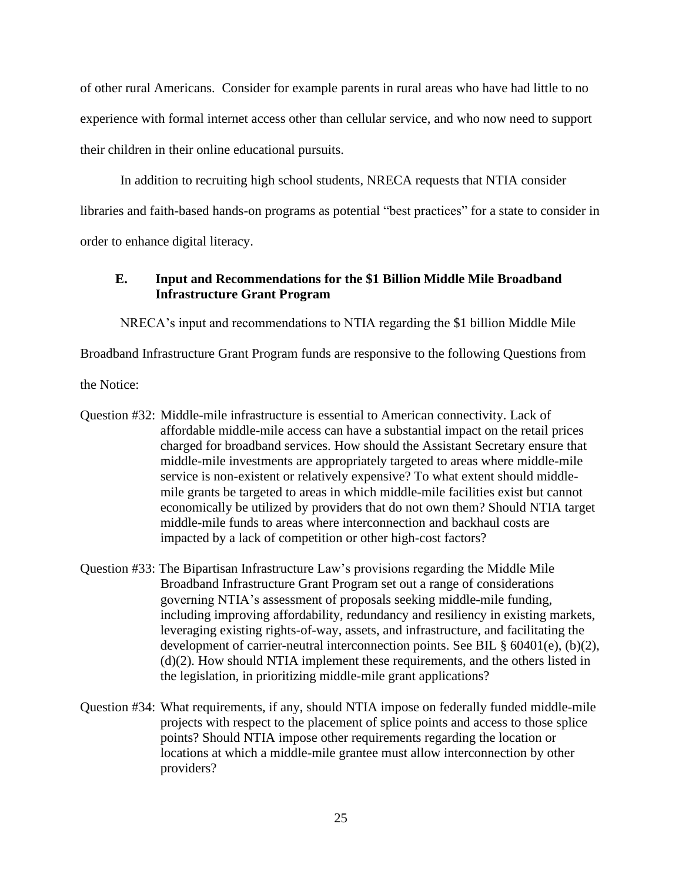of other rural Americans. Consider for example parents in rural areas who have had little to no experience with formal internet access other than cellular service, and who now need to support their children in their online educational pursuits.

In addition to recruiting high school students, NRECA requests that NTIA consider libraries and faith-based hands-on programs as potential "best practices" for a state to consider in order to enhance digital literacy.

## **E. Input and Recommendations for the \$1 Billion Middle Mile Broadband Infrastructure Grant Program**

NRECA's input and recommendations to NTIA regarding the \$1 billion Middle Mile

Broadband Infrastructure Grant Program funds are responsive to the following Questions from

the Notice:

- Question #32: Middle-mile infrastructure is essential to American connectivity. Lack of affordable middle-mile access can have a substantial impact on the retail prices charged for broadband services. How should the Assistant Secretary ensure that middle-mile investments are appropriately targeted to areas where middle-mile service is non-existent or relatively expensive? To what extent should middlemile grants be targeted to areas in which middle-mile facilities exist but cannot economically be utilized by providers that do not own them? Should NTIA target middle-mile funds to areas where interconnection and backhaul costs are impacted by a lack of competition or other high-cost factors?
- Question #33: The Bipartisan Infrastructure Law's provisions regarding the Middle Mile Broadband Infrastructure Grant Program set out a range of considerations governing NTIA's assessment of proposals seeking middle-mile funding, including improving affordability, redundancy and resiliency in existing markets, leveraging existing rights-of-way, assets, and infrastructure, and facilitating the development of carrier-neutral interconnection points. See BIL § 60401(e), (b)(2), (d)(2). How should NTIA implement these requirements, and the others listed in the legislation, in prioritizing middle-mile grant applications?
- Question #34: What requirements, if any, should NTIA impose on federally funded middle-mile projects with respect to the placement of splice points and access to those splice points? Should NTIA impose other requirements regarding the location or locations at which a middle-mile grantee must allow interconnection by other providers?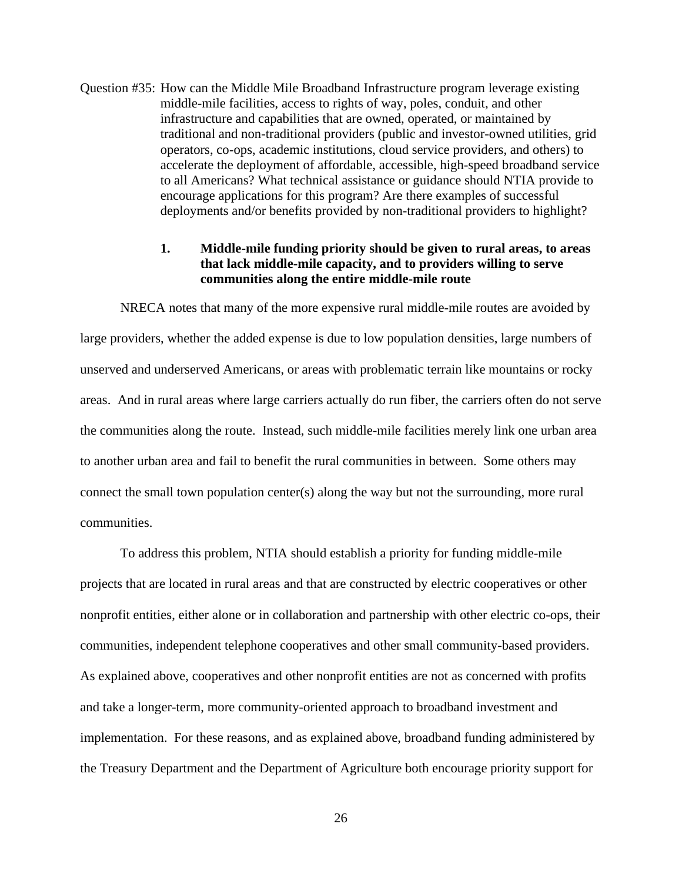Question #35: How can the Middle Mile Broadband Infrastructure program leverage existing middle-mile facilities, access to rights of way, poles, conduit, and other infrastructure and capabilities that are owned, operated, or maintained by traditional and non-traditional providers (public and investor-owned utilities, grid operators, co-ops, academic institutions, cloud service providers, and others) to accelerate the deployment of affordable, accessible, high-speed broadband service to all Americans? What technical assistance or guidance should NTIA provide to encourage applications for this program? Are there examples of successful deployments and/or benefits provided by non-traditional providers to highlight?

## **1. Middle-mile funding priority should be given to rural areas, to areas that lack middle-mile capacity, and to providers willing to serve communities along the entire middle-mile route**

NRECA notes that many of the more expensive rural middle-mile routes are avoided by large providers, whether the added expense is due to low population densities, large numbers of unserved and underserved Americans, or areas with problematic terrain like mountains or rocky areas. And in rural areas where large carriers actually do run fiber, the carriers often do not serve the communities along the route. Instead, such middle-mile facilities merely link one urban area to another urban area and fail to benefit the rural communities in between. Some others may connect the small town population center(s) along the way but not the surrounding, more rural communities.

To address this problem, NTIA should establish a priority for funding middle-mile projects that are located in rural areas and that are constructed by electric cooperatives or other nonprofit entities, either alone or in collaboration and partnership with other electric co-ops, their communities, independent telephone cooperatives and other small community-based providers. As explained above, cooperatives and other nonprofit entities are not as concerned with profits and take a longer-term, more community-oriented approach to broadband investment and implementation. For these reasons, and as explained above, broadband funding administered by the Treasury Department and the Department of Agriculture both encourage priority support for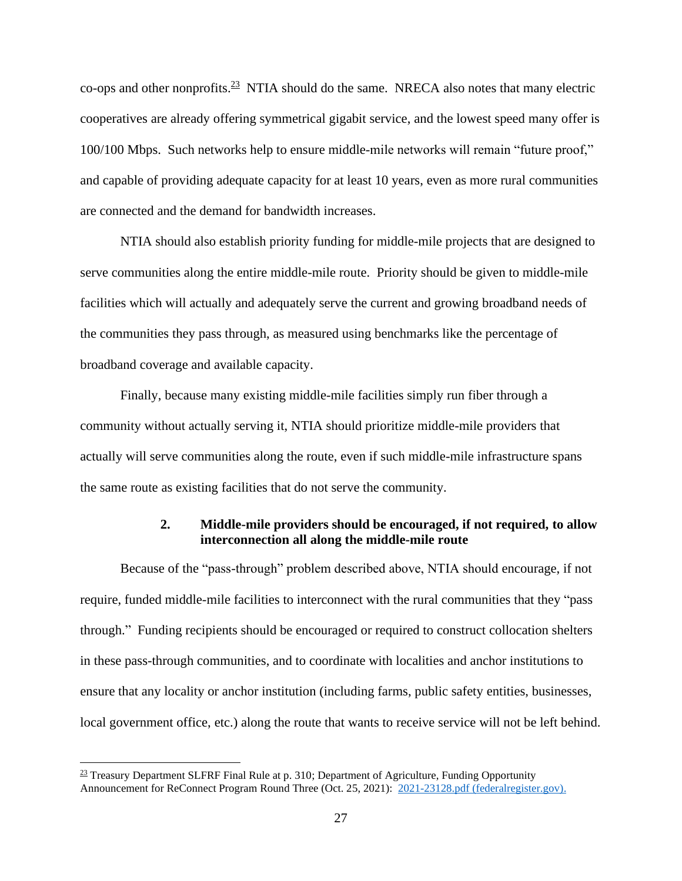co-ops and other nonprofits. $^{23}$  NTIA should do the same. NRECA also notes that many electric cooperatives are already offering symmetrical gigabit service, and the lowest speed many offer is 100/100 Mbps. Such networks help to ensure middle-mile networks will remain "future proof," and capable of providing adequate capacity for at least 10 years, even as more rural communities are connected and the demand for bandwidth increases.

NTIA should also establish priority funding for middle-mile projects that are designed to serve communities along the entire middle-mile route. Priority should be given to middle-mile facilities which will actually and adequately serve the current and growing broadband needs of the communities they pass through, as measured using benchmarks like the percentage of broadband coverage and available capacity.

Finally, because many existing middle-mile facilities simply run fiber through a community without actually serving it, NTIA should prioritize middle-mile providers that actually will serve communities along the route, even if such middle-mile infrastructure spans the same route as existing facilities that do not serve the community.

## **2. Middle-mile providers should be encouraged, if not required, to allow interconnection all along the middle-mile route**

Because of the "pass-through" problem described above, NTIA should encourage, if not require, funded middle-mile facilities to interconnect with the rural communities that they "pass through." Funding recipients should be encouraged or required to construct collocation shelters in these pass-through communities, and to coordinate with localities and anchor institutions to ensure that any locality or anchor institution (including farms, public safety entities, businesses, local government office, etc.) along the route that wants to receive service will not be left behind.

 $\frac{23}{21}$  Treasury Department SLFRF Final Rule at p. 310; Department of Agriculture, Funding Opportunity Announcement for ReConnect Program Round Three (Oct. 25, 2021): [2021-23128.pdf \(federalregister.gov\).](https://public-inspection.federalregister.gov/2021-23128.pdf)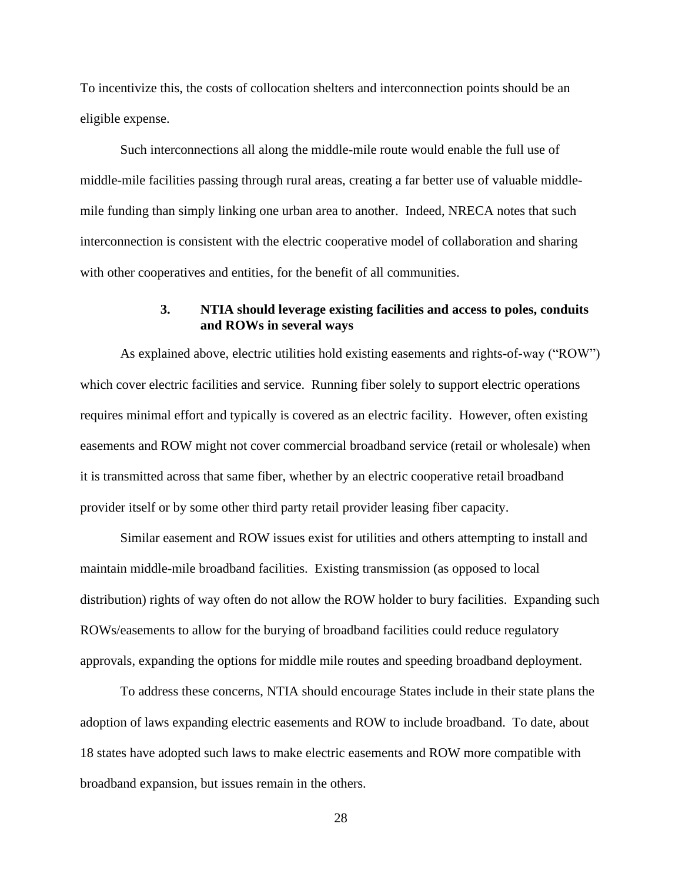To incentivize this, the costs of collocation shelters and interconnection points should be an eligible expense.

Such interconnections all along the middle-mile route would enable the full use of middle-mile facilities passing through rural areas, creating a far better use of valuable middlemile funding than simply linking one urban area to another. Indeed, NRECA notes that such interconnection is consistent with the electric cooperative model of collaboration and sharing with other cooperatives and entities, for the benefit of all communities.

## **3. NTIA should leverage existing facilities and access to poles, conduits and ROWs in several ways**

As explained above, electric utilities hold existing easements and rights-of-way ("ROW") which cover electric facilities and service. Running fiber solely to support electric operations requires minimal effort and typically is covered as an electric facility. However, often existing easements and ROW might not cover commercial broadband service (retail or wholesale) when it is transmitted across that same fiber, whether by an electric cooperative retail broadband provider itself or by some other third party retail provider leasing fiber capacity.

Similar easement and ROW issues exist for utilities and others attempting to install and maintain middle-mile broadband facilities. Existing transmission (as opposed to local distribution) rights of way often do not allow the ROW holder to bury facilities. Expanding such ROWs/easements to allow for the burying of broadband facilities could reduce regulatory approvals, expanding the options for middle mile routes and speeding broadband deployment.

To address these concerns, NTIA should encourage States include in their state plans the adoption of laws expanding electric easements and ROW to include broadband. To date, about 18 states have adopted such laws to make electric easements and ROW more compatible with broadband expansion, but issues remain in the others.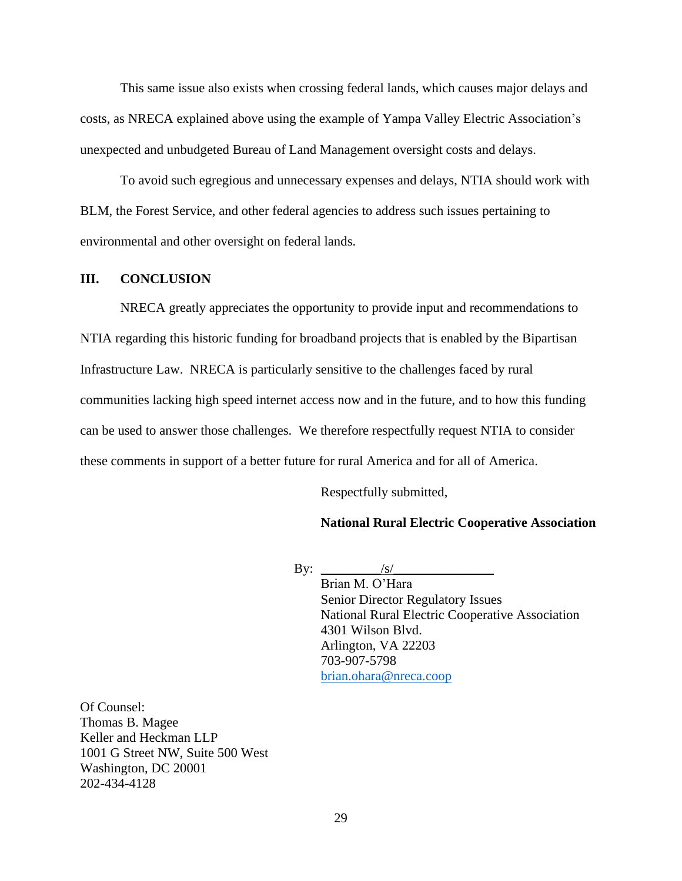This same issue also exists when crossing federal lands, which causes major delays and costs, as NRECA explained above using the example of Yampa Valley Electric Association's unexpected and unbudgeted Bureau of Land Management oversight costs and delays.

To avoid such egregious and unnecessary expenses and delays, NTIA should work with BLM, the Forest Service, and other federal agencies to address such issues pertaining to environmental and other oversight on federal lands.

#### **III. CONCLUSION**

NRECA greatly appreciates the opportunity to provide input and recommendations to NTIA regarding this historic funding for broadband projects that is enabled by the Bipartisan Infrastructure Law. NRECA is particularly sensitive to the challenges faced by rural communities lacking high speed internet access now and in the future, and to how this funding can be used to answer those challenges. We therefore respectfully request NTIA to consider these comments in support of a better future for rural America and for all of America.

Respectfully submitted,

#### **National Rural Electric Cooperative Association**

By:  $\frac{|s|}{|s|}$ Brian M. O'Hara Senior Director Regulatory Issues National Rural Electric Cooperative Association 4301 Wilson Blvd. Arlington, VA 22203 703-907-5798 [brian.ohara@nreca.coop](mailto:brian.ohara@nreca.coop)

Of Counsel: Thomas B. Magee Keller and Heckman LLP 1001 G Street NW, Suite 500 West Washington, DC 20001 202-434-4128